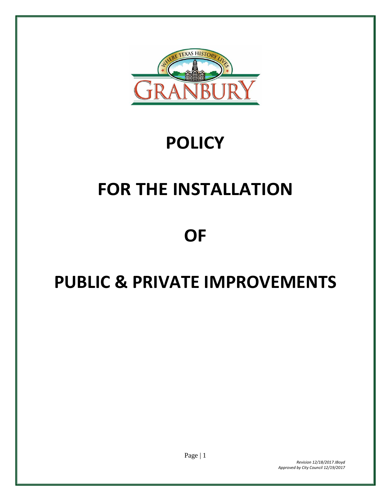

# **POLICY**

# **FOR THE INSTALLATION**

# **OF**

# **PUBLIC & PRIVATE IMPROVEMENTS**

Page | 1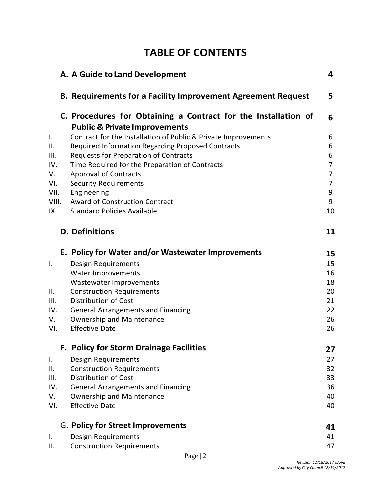# **TABLE OF CONTENTS**

|                | A. A Guide to Land Development                                                                             | 4                   |
|----------------|------------------------------------------------------------------------------------------------------------|---------------------|
|                | <b>B. Requirements for a Facility Improvement Agreement Request</b>                                        | 5                   |
|                | C. Procedures for Obtaining a Contract for the Installation of<br><b>Public &amp; Private Improvements</b> | 6                   |
| $\mathsf{I}$ . | Contract for the Installation of Public & Private Improvements                                             | 6                   |
| II.            | <b>Required Information Regarding Proposed Contracts</b>                                                   | 6                   |
| III.           | <b>Requests for Preparation of Contracts</b>                                                               | 6                   |
| IV.            | Time Required for the Preparation of Contracts                                                             | $\overline{7}$      |
| V.             | <b>Approval of Contracts</b>                                                                               | 7                   |
| VI.<br>VII.    | <b>Security Requirements</b><br>Engineering                                                                | $\overline{7}$<br>9 |
| VIII.          | <b>Award of Construction Contract</b>                                                                      | 9                   |
| IX.            | <b>Standard Policies Available</b>                                                                         | 10                  |
|                | <b>D.</b> Definitions                                                                                      | 11                  |
|                | E. Policy for Water and/or Wastewater Improvements                                                         | 15                  |
| $\mathsf{I}$ . | Design Requirements                                                                                        | 15                  |
|                | <b>Water Improvements</b>                                                                                  | 16                  |
|                | Wastewater Improvements                                                                                    | 18                  |
| II.            | <b>Construction Requirements</b>                                                                           | 20                  |
| III.           | <b>Distribution of Cost</b>                                                                                | 21                  |
| IV.<br>V.      | <b>General Arrangements and Financing</b><br><b>Ownership and Maintenance</b>                              | 22<br>26            |
| VI.            | <b>Effective Date</b>                                                                                      | 26                  |
|                | <b>F. Policy for Storm Drainage Facilities</b>                                                             | 27                  |
| Ι.             | Design Requirements                                                                                        | 27                  |
| II.            | <b>Construction Requirements</b>                                                                           | 32                  |
| III.           | Distribution of Cost                                                                                       | 33                  |
| IV.            | <b>General Arrangements and Financing</b>                                                                  | 36                  |
| V.             | <b>Ownership and Maintenance</b>                                                                           | 40                  |
| VI.            | <b>Effective Date</b>                                                                                      | 40                  |
|                | G. Policy for Street Improvements                                                                          | 41                  |
| Ι.             | Design Requirements                                                                                        | 41                  |
| ΙΙ.            | <b>Construction Requirements</b>                                                                           | 47                  |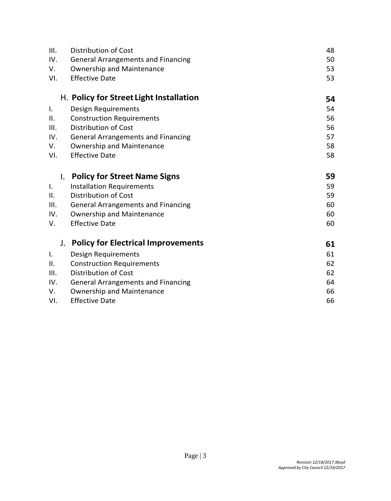| III.           | <b>Distribution of Cost</b>               | 48 |
|----------------|-------------------------------------------|----|
| IV.            | <b>General Arrangements and Financing</b> | 50 |
| V.             | <b>Ownership and Maintenance</b>          | 53 |
| VI.            | <b>Effective Date</b>                     | 53 |
|                | H. Policy for Street Light Installation   | 54 |
| Ι.             | Design Requirements                       | 54 |
| ΙΙ.            | <b>Construction Requirements</b>          | 56 |
| III.           | <b>Distribution of Cost</b>               | 56 |
| IV.            | <b>General Arrangements and Financing</b> | 57 |
| V.             | <b>Ownership and Maintenance</b>          | 58 |
| VI.            | <b>Effective Date</b>                     | 58 |
| I.             | <b>Policy for Street Name Signs</b>       | 59 |
| I.             | <b>Installation Requirements</b>          | 59 |
| II.            | <b>Distribution of Cost</b>               | 59 |
| III.           | <b>General Arrangements and Financing</b> | 60 |
| IV.            | <b>Ownership and Maintenance</b>          | 60 |
| V.             | <b>Effective Date</b>                     | 60 |
| $J_{\star}$    | <b>Policy for Electrical Improvements</b> | 61 |
| $\mathbf{I}$ . | Design Requirements                       | 61 |
| II.            | <b>Construction Requirements</b>          | 62 |
| III.           | <b>Distribution of Cost</b>               | 62 |
| IV.            | <b>General Arrangements and Financing</b> | 64 |
| V.             | <b>Ownership and Maintenance</b>          | 66 |
| VI.            | <b>Effective Date</b>                     | 66 |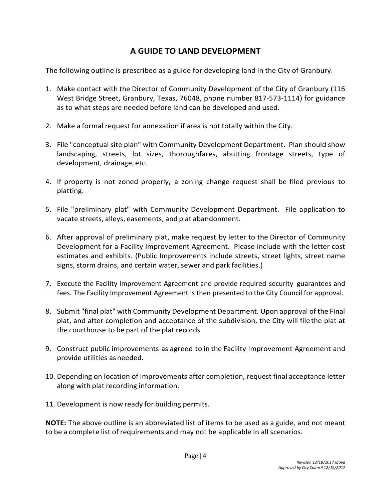# **A GUIDE TO LAND DEVELOPMENT**

The following outline is prescribed as a guide for developing land in the City of Granbury.

- 1. Make contact with the Director of Community Development of the City of Granbury (116 West Bridge Street, Granbury, Texas, 76048, phone number 817-573-1114) for guidance as to what steps are needed before land can be developed and used.
- 2. Make a formal request for annexation if area is not totally within the City.
- 3. File "conceptual site plan" with Community Development Department. Plan should show landscaping, streets, lot sizes, thoroughfares, abutting frontage streets, type of development, drainage, etc.
- 4. If property is not zoned properly, a zoning change request shall be filed previous to platting.
- 5. File "preliminary plat" with Community Development Department. File application to vacate streets, alleys, easements, and plat abandonment.
- 6. After approval of preliminary plat, make request by letter to the Director of Community Development for a Facility Improvement Agreement. Please include with the letter cost estimates and exhibits. (Public Improvements include streets, street lights, street name signs, storm drains, and certain water, sewer and park facilities.)
- 7. Execute the Facility Improvement Agreement and provide required security guarantees and fees. The Facility Improvement Agreement is then presented to the City Council for approval.
- 8. Submit "final plat" with Community Development Department. Upon approval of the Final plat, and after completion and acceptance of the subdivision, the City will file the plat at the courthouse to be part of the plat records
- 9. Construct public improvements as agreed to in the Facility Improvement Agreement and provide utilities as needed.
- 10. Depending on location of improvements after completion, request final acceptance letter along with plat recording information.
- 11. Development is now ready for building permits.

**NOTE:** The above outline is an abbreviated list of items to be used as a guide, and not meant to be a complete list of requirements and may not be applicable in all scenarios.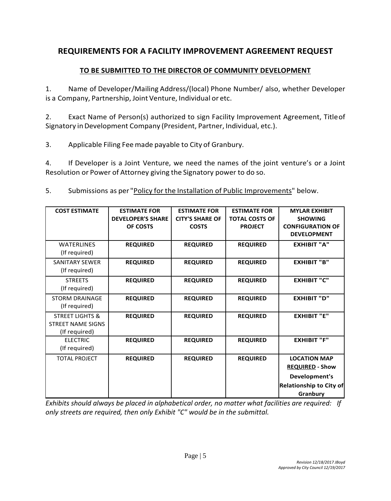# **REQUIREMENTS FOR A FACILITY IMPROVEMENT AGREEMENT REQUEST**

#### **TO BE SUBMITTED TO THE DIRECTOR OF COMMUNITY DEVELOPMENT**

1. Name of Developer/Mailing Address/(local) Phone Number/ also, whether Developer is a Company, Partnership, Joint Venture, Individual or etc.

2. Exact Name of Person(s) authorized to sign Facility Improvement Agreement, Titleof Signatory inDevelopment Company (President, Partner, Individual, etc.).

3. Applicable Filing Feemade payable to City of Granbury.

4. If Developer is a Joint Venture, we need the names of the joint venture's or a Joint Resolution or Power of Attorney giving the Signatory power to do so.

5. Submissions as per "Policy for the Installation of Public Improvements" below.

| <b>COST ESTIMATE</b>       | <b>ESTIMATE FOR</b>      | <b>ESTIMATE FOR</b>    | <b>ESTIMATE FOR</b>   | <b>MYLAR EXHIBIT</b>    |
|----------------------------|--------------------------|------------------------|-----------------------|-------------------------|
|                            | <b>DEVELOPER'S SHARE</b> | <b>CITY'S SHARE OF</b> | <b>TOTAL COSTS OF</b> | <b>SHOWING</b>          |
|                            | OF COSTS                 | <b>COSTS</b>           | <b>PROJECT</b>        | <b>CONFIGURATION OF</b> |
|                            |                          |                        |                       | <b>DEVELOPMENT</b>      |
| <b>WATERLINES</b>          | <b>REQUIRED</b>          | <b>REQUIRED</b>        | <b>REQUIRED</b>       | <b>EXHIBIT "A"</b>      |
| (If required)              |                          |                        |                       |                         |
| <b>SANITARY SEWER</b>      | <b>REQUIRED</b>          | <b>REQUIRED</b>        | <b>REQUIRED</b>       | <b>EXHIBIT "B"</b>      |
| (If required)              |                          |                        |                       |                         |
| <b>STREETS</b>             | <b>REQUIRED</b>          | <b>REQUIRED</b>        | <b>REQUIRED</b>       | <b>EXHIBIT "C"</b>      |
| (If required)              |                          |                        |                       |                         |
| <b>STORM DRAINAGE</b>      | <b>REQUIRED</b>          | <b>REQUIRED</b>        | <b>REQUIRED</b>       | <b>EXHIBIT "D"</b>      |
| (If required)              |                          |                        |                       |                         |
| <b>STREET LIGHTS &amp;</b> | <b>REQUIRED</b>          | <b>REQUIRED</b>        | <b>REQUIRED</b>       | <b>EXHIBIT "E"</b>      |
| <b>STREET NAME SIGNS</b>   |                          |                        |                       |                         |
| (If required)              |                          |                        |                       |                         |
| <b>ELECTRIC</b>            | <b>REQUIRED</b>          | <b>REQUIRED</b>        | <b>REQUIRED</b>       | <b>EXHIBIT "F"</b>      |
| (If required)              |                          |                        |                       |                         |
| <b>TOTAL PROJECT</b>       | <b>REQUIRED</b>          | <b>REQUIRED</b>        | <b>REQUIRED</b>       | <b>LOCATION MAP</b>     |
|                            |                          |                        |                       | <b>REQUIRED - Show</b>  |
|                            |                          |                        |                       | Development's           |
|                            |                          |                        |                       | Relationship to City of |
|                            |                          |                        |                       | Granbury                |

*Exhibits should always be placed in alphabetical order, no matter what facilities are required: If only streets are required, then only Exhibit "C" would be in the submittal.*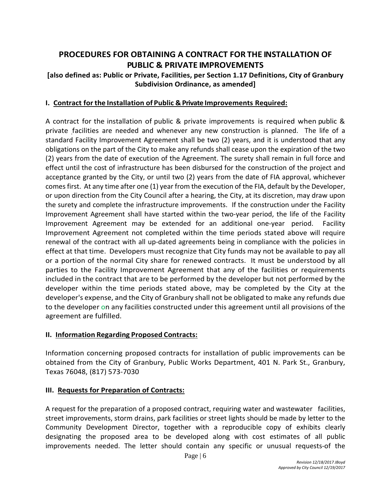# **PROCEDURES FOR OBTAINING A CONTRACT FOR THE INSTALLATION OF PUBLIC & PRIVATE IMPROVEMENTS**

#### **[also defined as: Public or Private, Facilities, per Section 1.17 Definitions, City of Granbury Subdivision Ordinance, as amended]**

#### **I. Contract for the Installation of Public & Private Improvements Required:**

A contract for the installation of public & private improvements is required when public & private facilities are needed and whenever any new construction is planned. The life of a standard Facility Improvement Agreement shall be two (2) years, and it is understood that any obligations on the part of the City to make any refunds shall cease upon the expiration of the two (2) years from the date of execution of the Agreement. The surety shall remain in full force and effect until the cost of infrastructure has been disbursed for the construction of the project and acceptance granted by the City, or until two (2) years from the date of FIA approval, whichever comes first. At any time after one (1) year from the execution of the FIA, default by the Developer, or upon direction from the City Council after a hearing, the City, at its discretion, may draw upon the surety and complete the infrastructure improvements. If the construction under the Facility Improvement Agreement shall have started within the two-year period, the life of the Facility Improvement Agreement may be extended for an additional one-year period. Facility Improvement Agreement not completed within the time periods stated above will require renewal of the contract with all up-dated agreements being in compliance with the policies in effect at that time. Developers must recognize that City funds may not be available to pay all or a portion of the normal City share for renewed contracts. It must be understood by all parties to the Facility Improvement Agreement that any of the facilities or requirements included in the contract that are to be performed by the developer but not performed by the developer within the time periods stated above, may be completed by the City at the developer's expense, and the City of Granbury shall not be obligated to make any refunds due to the developer on any facilities constructed under this agreement until all provisions of the agreement are fulfilled.

#### **II. Information Regarding Proposed Contracts:**

Information concerning proposed contracts for installation of public improvements can be obtained from the City of Granbury, Public Works Department, 401 N. Park St., Granbury, Texas 76048, (817) 573-7030

#### **III. Requests for Preparation of Contracts:**

A request for the preparation of a proposed contract, requiring water and wastewater facilities, street improvements, storm drains, park facilities or street lights should be made by letter to the Community Development Director, together with a reproducible copy of exhibits clearly designating the proposed area to be developed along with cost estimates of all public improvements needed. The letter should contain any specific or unusual requests-of the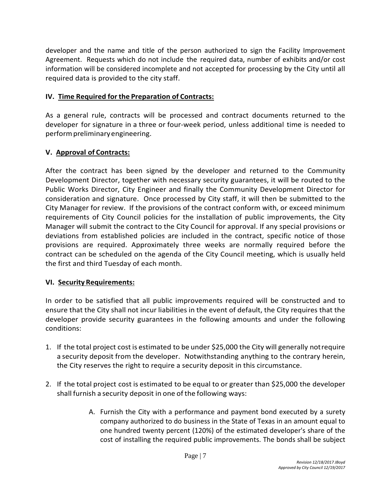developer and the name and title of the person authorized to sign the Facility Improvement Agreement. Requests which do not include the required data, number of exhibits and/or cost information will be considered incomplete and not accepted for processing by the City until all required data is provided to the city staff.

#### **IV. Time Required for the Preparation of Contracts:**

As a general rule, contracts will be processed and contract documents returned to the developer for signature in a three or four-week period, unless additional time is needed to performpreliminaryengineering.

#### **V. Approval of Contracts:**

After the contract has been signed by the developer and returned to the Community Development Director, together with necessary security guarantees, it will be routed to the Public Works Director, City Engineer and finally the Community Development Director for consideration and signature. Once processed by City staff, it will then be submitted to the City Manager for review. If the provisions of the contract conform with, or exceed minimum requirements of City Council policies for the installation of public improvements, the City Manager will submit the contract to the City Council for approval. If any special provisions or deviations from established policies are included in the contract, specific notice of those provisions are required. Approximately three weeks are normally required before the contract can be scheduled on the agenda of the City Council meeting, which is usually held the first and third Tuesday of each month.

#### **VI. Security Requirements:**

In order to be satisfied that all public improvements required will be constructed and to ensure that the City shall not incur liabilities in the event of default, the City requires that the developer provide security guarantees in the following amounts and under the following conditions:

- 1. If the total project cost is estimated to be under \$25,000 the City will generally notrequire a security deposit from the developer. Notwithstanding anything to the contrary herein, the City reserves the right to require a security deposit in this circumstance.
- 2. If the total project cost is estimated to be equal to or greater than \$25,000 the developer shall furnish a security deposit in one of the following ways:
	- A. Furnish the City with a performance and payment bond executed by a surety company authorized to do business in the State of Texas in an amount equal to one hundred twenty percent (120%) of the estimated developer's share of the cost of installing the required public improvements. The bonds shall be subject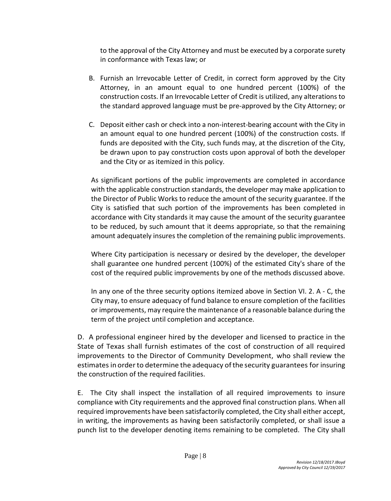to the approval of the City Attorney and must be executed by a corporate surety in conformance with Texas law; or

- B. Furnish an Irrevocable Letter of Credit, in correct form approved by the City Attorney, in an amount equal to one hundred percent (100%) of the construction costs. If an Irrevocable Letter of Credit is utilized, any alterations to the standard approved language must be pre-approved by the City Attorney; or
- C. Deposit either cash or check into a non-interest-bearing account with the City in an amount equal to one hundred percent (100%) of the construction costs. If funds are deposited with the City, such funds may, at the discretion of the City, be drawn upon to pay construction costs upon approval of both the developer and the City or as itemized in this policy.

As significant portions of the public improvements are completed in accordance with the applicable construction standards, the developer may make application to the Director of Public Works to reduce the amount of the security guarantee. If the City is satisfied that such portion of the improvements has been completed in accordance with City standards it may cause the amount of the security guarantee to be reduced, by such amount that it deems appropriate, so that the remaining amount adequately insures the completion of the remaining public improvements.

Where City participation is necessary or desired by the developer, the developer shall guarantee one hundred percent (100%) of the estimated City's share of the cost of the required public improvements by one of the methods discussed above.

In any one of the three security options itemized above in Section VI. 2. A - C, the City may, to ensure adequacy of fund balance to ensure completion of the facilities or improvements, may require the maintenance of a reasonable balance during the term of the project until completion and acceptance.

D. A professional engineer hired by the developer and licensed to practice in the State of Texas shall furnish estimates of the cost of construction of all required improvements to the Director of Community Development, who shall review the estimates in order to determine the adequacy of the security guarantees for insuring the construction of the required facilities.

E. The City shall inspect the installation of all required improvements to insure compliance with City requirements and the approved final construction plans. When all required improvements have been satisfactorily completed, the City shall either accept, in writing, the improvements as having been satisfactorily completed, or shall issue a punch list to the developer denoting items remaining to be completed. The City shall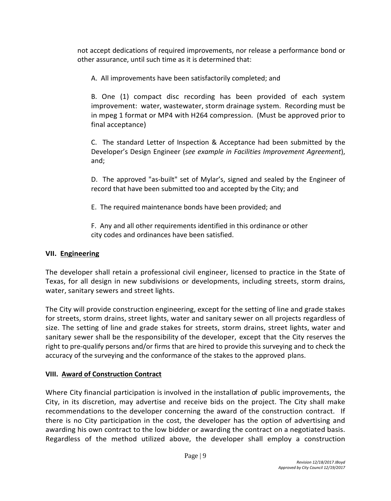not accept dedications of required improvements, nor release a performance bond or other assurance, until such time as it is determined that:

A. All improvements have been satisfactorily completed; and

B. One (1) compact disc recording has been provided of each system improvement: water, wastewater, storm drainage system. Recording must be in mpeg 1 format or MP4 with H264 compression. (Must be approved prior to final acceptance)

C. The standard Letter of Inspection & Acceptance had been submitted by the Developer's Design Engineer (*see example in Facilities Improvement Agreement*), and;

D. The approved "as-built" set of Mylar's, signed and sealed by the Engineer of record that have been submitted too and accepted by the City; and

E. The required maintenance bonds have been provided; and

F. Any and all other requirements identified in this ordinance or other city codes and ordinances have been satisfied.

### **VII. Engineering**

The developer shall retain a professional civil engineer, licensed to practice in the State of Texas, for all design in new subdivisions or developments, including streets, storm drains, water, sanitary sewers and street lights.

The City will provide construction engineering, except for the setting of line and grade stakes for streets, storm drains, street lights, water and sanitary sewer on all projects regardless of size. The setting of line and grade stakes for streets, storm drains, street lights, water and sanitary sewer shall be the responsibility of the developer, except that the City reserves the right to pre-qualify persons and/or firms that are hired to provide this surveying and to check the accuracy of the surveying and the conformance of the stakes to the approved plans.

# **VIII. Award of Construction Contract**

Where City financial participation is involved in the installation of public improvements, the City, in its discretion, may advertise and receive bids on the project. The City shall make recommendations to the developer concerning the award of the construction contract. If there is no City participation in the cost, the developer has the option of advertising and awarding his own contract to the low bidder or awarding the contract on a negotiated basis. Regardless of the method utilized above, the developer shall employ a construction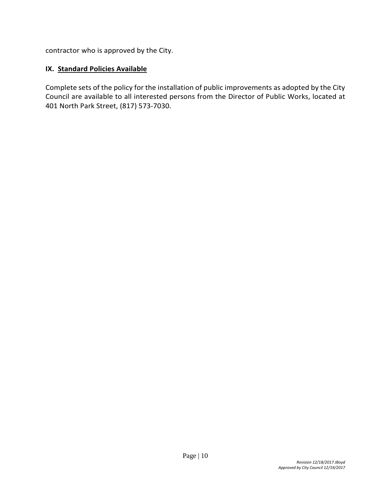contractor who is approved by the City.

#### **IX. Standard Policies Available**

Complete sets of the policy for the installation of public improvements as adopted by the City Council are available to all interested persons from the Director of Public Works, located at 401 North Park Street, (817) 573-7030.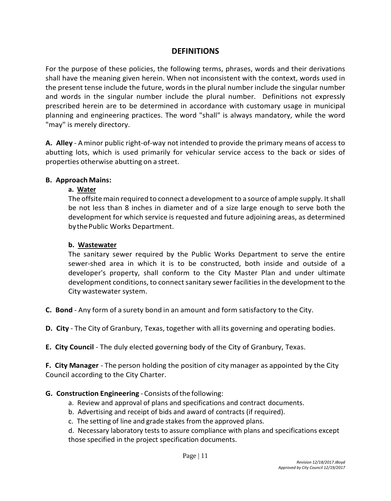### **DEFINITIONS**

For the purpose of these policies, the following terms, phrases, words and their derivations shall have the meaning given herein. When not inconsistent with the context, words used in the present tense include the future, words in the plural number include the singular number and words in the singular number include the plural number. Definitions not expressly prescribed herein are to be determined in accordance with customary usage in municipal planning and engineering practices. The word "shall" is always mandatory, while the word "may" is merely directory.

**A. Alley** - Aminor public right-of-way not intended to provide the primary means of access to abutting lots, which is used primarily for vehicular service access to the back or sides of properties otherwise abutting on a street.

#### **B. Approach Mains:**

#### **a. Water**

The offsite main required to connect a development to a source of ample supply. It shall be not less than 8 inches in diameter and of a size large enough to serve both the development for which service is requested and future adjoining areas, as determined by the Public Works Department.

#### **b. Wastewater**

The sanitary sewer required by the Public Works Department to serve the entire sewer-shed area in which it is to be constructed, both inside and outside of a developer's property, shall conform to the City Master Plan and under ultimate development conditions, to connect sanitary sewer facilities in the development to the City wastewater system.

- **C. Bond** Any form of a surety bond in an amount and form satisfactory to the City.
- **D. City** The City of Granbury, Texas, together with all its governing and operating bodies.
- **E. City Council**  The duly elected governing body of the City of Granbury, Texas.

**F. City Manager** - The person holding the position of city manager as appointed by the City Council according to the City Charter.

- **G. Construction Engineering** Consists ofthe following:
	- a. Review and approval of plans and specifications and contract documents.
	- b. Advertising and receipt of bids and award of contracts (if required).
	- c. The setting of line and grade stakes from the approved plans.
	- d. Necessary laboratory tests to assure compliance with plans and specifications except those specified in the project specification documents.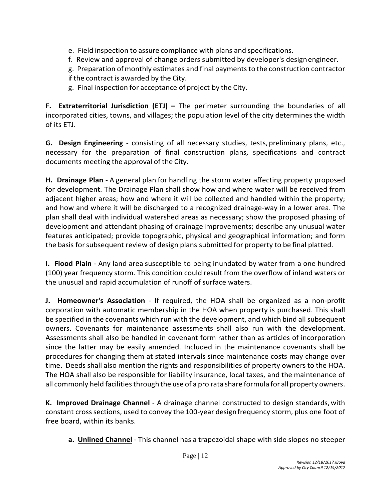- e. Field inspection to assure compliance with plans and specifications.
- f. Review and approval of change orders submitted by developer's designengineer.
- g. Preparation of monthly estimates and final payments to the construction contractor if the contract is awarded by the City.
- g. Final inspection for acceptance of project by the City.

**F. Extraterritorial Jurisdiction (ETJ) –** The perimeter surrounding the boundaries of all incorporated cities, towns, and villages; the population level of the city determines the width of its ETJ.

**G. Design Engineering** - consisting of all necessary studies, tests, preliminary plans, etc., necessary for the preparation of final construction plans, specifications and contract documents meeting the approval of the City.

**H. Drainage Plan** - A general plan for handling the storm water affecting property proposed for development. The Drainage Plan shall show how and where water will be received from adjacent higher areas; how and where it will be collected and handled within the property; and how and where it will be discharged to a recognized drainage-way in a lower area. The plan shall deal with individual watershed areas as necessary; show the proposed phasing of development and attendant phasing of drainage improvements; describe any unusual water features anticipated; provide topographic, physical and geographical information; and form the basis forsubsequent review of design plans submitted for property to be final platted.

**I. Flood Plain** - Any land area susceptible to being inundated by water from a one hundred (100) year frequency storm. This condition could result from the overflow of inland waters or the unusual and rapid accumulation of runoff of surface waters.

**J. Homeowner's Association** - If required, the HOA shall be organized as a non-profit corporation with automatic membership in the HOA when property is purchased. This shall be specified in the covenants which run with the development, and which bind all subsequent owners. Covenants for maintenance assessments shall also run with the development. Assessments shall also be handled in covenant form rather than as articles of incorporation since the latter may be easily amended. Included in the maintenance covenants shall be procedures for changing them at stated intervals since maintenance costs may change over time. Deeds shall also mention the rights and responsibilities of property owners to the HOA. The HOA shall also be responsible for liability insurance, local taxes, and the maintenance of all commonly held facilities through the use of a pro rata share formula for all property owners.

**K. Improved Drainage Channel** - A drainage channel constructed to design standards, with constant cross sections, used to convey the 100-year design frequency storm, plus one foot of free board, within its banks.

**a. Unlined Channel** - This channel has a trapezoidal shape with side slopes no steeper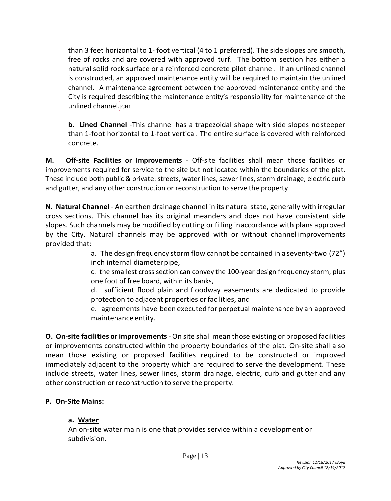than 3 feet horizontal to 1- foot vertical (4 to 1 preferred). The side slopes are smooth, free of rocks and are covered with approved turf. The bottom section has either a natural solid rock surface or a reinforced concrete pilot channel. If an unlined channel is constructed, an approved maintenance entity will be required to maintain the unlined channel. A maintenance agreement between the approved maintenance entity and the City is required describing the maintenance entity's responsibility for maintenance of the unlined channel. [CH1]

**b. Lined Channel** -This channel has a trapezoidal shape with side slopes nosteeper than 1-foot horizontal to 1-foot vertical. The entire surface is covered with reinforced concrete.

**M. Off-site Facilities or Improvements** - Off-site facilities shall mean those facilities or improvements required for service to the site but not located within the boundaries of the plat. These include both public & private: streets, water lines, sewer lines, storm drainage, electric curb and gutter, and any other construction or reconstruction to serve the property

**N. Natural Channel** - An earthen drainage channel in its natural state, generally with irregular cross sections. This channel has its original meanders and does not have consistent side slopes. Such channels may be modified by cutting or filling inaccordance with plans approved by the City. Natural channels may be approved with or without channel improvements provided that:

> a. The design frequency storm flow cannot be contained in a seventy-two (72") inch internal diameter pipe,

> c. the smallest cross section can convey the 100-year design frequency storm, plus one foot of free board, within its banks,

> d. sufficient flood plain and floodway easements are dedicated to provide protection to adjacent properties orfacilities, and

> e. agreements have been executed for perpetual maintenance by an approved maintenance entity.

**O. On-site facilities or improvements** - On site shall mean those existing or proposed facilities or improvements constructed within the property boundaries of the plat. On-site shall also mean those existing or proposed facilities required to be constructed or improved immediately adjacent to the property which are required to serve the development. These include streets, water lines, sewer lines, storm drainage, electric, curb and gutter and any other construction or reconstruction to serve the property.

#### **P. On-Site Mains:**

# **a. Water**

An on-site water main is one that provides service within a development or subdivision.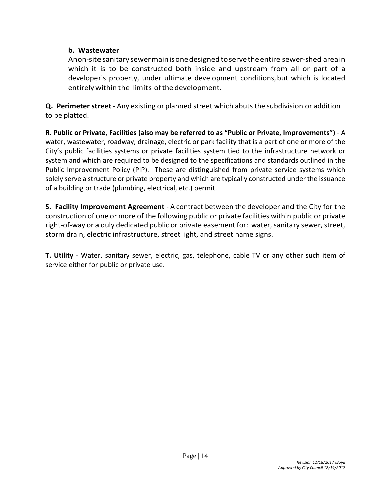#### **b. Wastewater**

Anon-sitesanitarysewermainisonedesigned toservetheentire sewer-shed areain which it is to be constructed both inside and upstream from all or part of a developer's property, under ultimate development conditions,but which is located entirelywithin the limits ofthedevelopment.

**Q. Perimeter street** - Any existing or planned street which abuts the subdivision or addition to be platted.

**R. Public or Private, Facilities (also may be referred to as "Public or Private, Improvements")** - A water, wastewater, roadway, drainage, electric or park facility that is a part of one or more of the City's public facilities systems or private facilities system tied to the infrastructure network or system and which are required to be designed to the specifications and standards outlined in the Public Improvement Policy (PIP). These are distinguished from private service systems which solely serve a structure or private property and which are typically constructed under the issuance of a building or trade (plumbing, electrical, etc.) permit.

**S. Facility Improvement Agreement** - A contract between the developer and the City for the construction of one or more of the following public or private facilities within public or private right-of-way or a duly dedicated public or private easement for: water, sanitary sewer, street, storm drain, electric infrastructure, street light, and street name signs.

**T. Utility** - Water, sanitary sewer, electric, gas, telephone, cable TV or any other such item of service either for public or private use.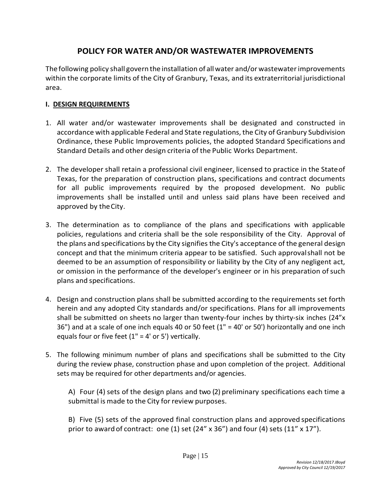# **POLICY FOR WATER AND/OR WASTEWATER IMPROVEMENTS**

The following policy shall govern the installation of allwater and/orwastewaterimprovements within the corporate limits of the City of Granbury, Texas, and its extraterritorial jurisdictional area.

### **I. DESIGN REQUIREMENTS**

- 1. All water and/or wastewater improvements shall be designated and constructed in accordance with applicable Federal and State regulations, the City of Granbury Subdivision Ordinance, these Public Improvements policies, the adopted Standard Specifications and Standard Details and other design criteria of the Public Works Department.
- 2. The developer shall retain a professional civil engineer, licensed to practice in the Stateof Texas, for the preparation of construction plans, specifications and contract documents for all public improvements required by the proposed development. No public improvements shall be installed until and unless said plans have been received and approved by theCity.
- 3. The determination as to compliance of the plans and specifications with applicable policies, regulations and criteria shall be the sole responsibility of the City. Approval of the plans and specifications by the City signifies the City's acceptance of the general design concept and that the minimum criteria appear to be satisfied. Such approvalshall not be deemed to be an assumption of responsibility or liability by the City of any negligent act, or omission in the performance of the developer's engineer or in his preparation of such plans and specifications.
- 4. Design and construction plans shall be submitted according to the requirements set forth herein and any adopted City standards and/or specifications. Plans for all improvements shall be submitted on sheets no larger than twenty-four inches by thirty-six inches (24"x 36") and at a scale of one inch equals 40 or 50 feet (1" = 40' or 50') horizontally and one inch equals four or five feet  $(1 - 4)$  or 5') vertically.
- 5. The following minimum number of plans and specifications shall be submitted to the City during the review phase, construction phase and upon completion of the project. Additional sets may be required for other departments and/or agencies.

A) Four (4) sets of the design plans and two (2) preliminary specifications each time a submittal is made to the City for review purposes.

B) Five (5) sets of the approved final construction plans and approved specifications prior to award of contract: one (1) set (24" x 36") and four (4) sets (11" x 17").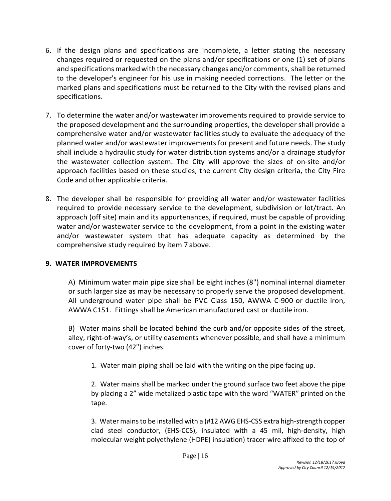- 6. If the design plans and specifications are incomplete, a letter stating the necessary changes required or requested on the plans and/or specifications or one (1) set of plans and specifications marked with the necessary changes and/or comments, shall be returned to the developer's engineer for his use in making needed corrections. The letter or the marked plans and specifications must be returned to the City with the revised plans and specifications.
- 7. To determine the water and/or wastewater improvements required to provide service to the proposed development and the surrounding properties, the developer shall provide a comprehensive water and/or wastewater facilities study to evaluate the adequacy of the planned water and/or wastewater improvements for present and future needs. The study shall include a hydraulic study for water distribution systems and/or a drainage studyfor the wastewater collection system. The City will approve the sizes of on-site and/or approach facilities based on these studies, the current City design criteria, the City Fire Code and other applicable criteria.
- 8. The developer shall be responsible for providing all water and/or wastewater facilities required to provide necessary service to the development, subdivision or lot/tract. An approach (off site) main and its appurtenances, if required, must be capable of providing water and/or wastewater service to the development, from a point in the existing water and/or wastewater system that has adequate capacity as determined by the comprehensive study required by item 7 above.

#### **9. WATER IMPROVEMENTS**

A) Minimum water main pipe size shall be eight inches (8") nominal internal diameter or such larger size as may be necessary to properly serve the proposed development. All underground water pipe shall be PVC Class 150, AWWA C-900 or ductile iron, AWWA C151. Fittings shall be American manufactured cast or ductile iron.

B) Water mains shall be located behind the curb and/or opposite sides of the street, alley, right-of-way's, or utility easements whenever possible, and shall have a minimum cover of forty-two (42") inches.

1. Water main piping shall be laid with the writing on the pipe facing up.

2. Water mains shall be marked under the ground surface two feet above the pipe by placing a 2" wide metalized plastic tape with the word "WATER" printed on the tape.

3. Water mains to be installed with a (#12 AWG EHS-CSS extra high-strength copper clad steel conductor, (EHS-CCS), insulated with a 45 mil, high-density, high molecular weight polyethylene (HDPE) insulation) tracer wire affixed to the top of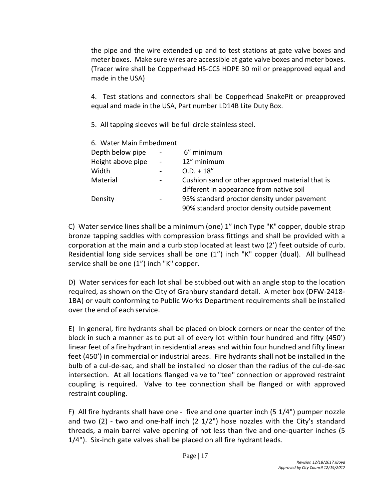the pipe and the wire extended up and to test stations at gate valve boxes and meter boxes. Make sure wires are accessible at gate valve boxes and meter boxes. (Tracer wire shall be Copperhead HS-CCS HDPE 30 mil or preapproved equal and made in the USA)

4. Test stations and connectors shall be Copperhead SnakePit or preapproved equal and made in the USA, Part number LD14B Lite Duty Box.

5. All tapping sleeves will be full circle stainless steel.

| 6. Water Main Embedment |                                                 |
|-------------------------|-------------------------------------------------|
| $\sim$                  | 6" minimum                                      |
| $\blacksquare$          | 12" minimum                                     |
|                         | $O.D. + 18''$                                   |
|                         | Cushion sand or other approved material that is |
|                         | different in appearance from native soil        |
|                         | 95% standard proctor density under pavement     |
|                         | 90% standard proctor density outside pavement   |
|                         |                                                 |

C) Water service lines shall be a minimum (one) 1" inch Type "K" copper, double strap bronze tapping saddles with compression brass fittings and shall be provided with a corporation at the main and a curb stop located at least two (2') feet outside of curb. Residential long side services shall be one (1") inch "K" copper (dual). All bullhead service shall be one  $(1'')$  inch "K" copper.

D) Water services for each lot shall be stubbed out with an angle stop to the location required, as shown on the City of Granbury standard detail. A meter box (DFW-2418- 1BA) or vault conforming to Public Works Department requirements shall be installed over the end of each service.

E) In general, fire hydrants shall be placed on block corners or near the center of the block in such a manner as to put all of every lot within four hundred and fifty (450') linear feet of a fire hydrant in residential areas and within four hundred and fifty linear feet (450') in commercial or industrial areas. Fire hydrants shall not be installed in the bulb of a cul-de-sac, and shall be installed no closer than the radius of the cul-de-sac intersection. At all locations flanged valve to "tee" connection or approved restraint coupling is required. Valve to tee connection shall be flanged or with approved restraint coupling.

F) All fire hydrants shall have one - five and one quarter inch (5 1/4") pumper nozzle and two (2) - two and one-half inch (2 1/2") hose nozzles with the City's standard threads, a main barrel valve opening of not less than five and one-quarter inches (5 1/4"). Six-inch gate valves shall be placed on all fire hydrant leads.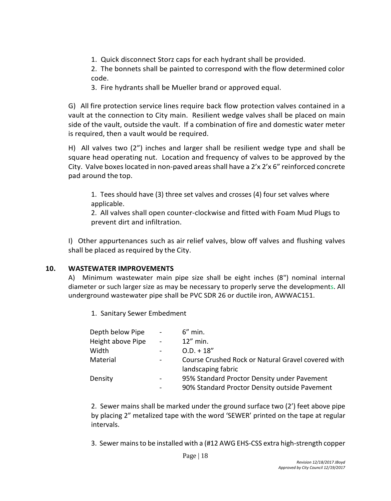1. Quick disconnect Storz caps for each hydrant shall be provided.

2. The bonnets shall be painted to correspond with the flow determined color code.

3. Fire hydrants shall be Mueller brand or approved equal.

G) All fire protection service lines require back flow protection valves contained in a vault at the connection to City main. Resilient wedge valves shall be placed on main side of the vault, outside the vault. If a combination of fire and domestic water meter is required, then a vault would be required.

H) All valves two (2") inches and larger shall be resilient wedge type and shall be square head operating nut. Location and frequency of valves to be approved by the City. Valve boxes located in non-paved areas shall have a 2'x 2'x 6" reinforced concrete pad around the top.

1. Tees should have (3) three set valves and crosses (4) four set valves where applicable.

2. All valves shall open counter-clockwise and fitted with Foam Mud Plugs to prevent dirt and infiltration.

I) Other appurtenances such as air relief valves, blow off valves and flushing valves shall be placed as required by the City.

#### **10. WASTEWATER IMPROVEMENTS**

A) Minimum wastewater main pipe size shall be eight inches (8") nominal internal diameter or such larger size as may be necessary to properly serve the developments. All underground wastewater pipe shall be PVC SDR 26 or ductile iron, AWWAC151.

1. Sanitary Sewer Embedment

| Depth below Pipe  |        | $6''$ min.                                         |
|-------------------|--------|----------------------------------------------------|
| Height above Pipe | $\sim$ | $12''$ min.                                        |
| Width             |        | $0.D. + 18''$                                      |
| Material          |        | Course Crushed Rock or Natural Gravel covered with |
|                   |        | landscaping fabric                                 |
| Density           |        | 95% Standard Proctor Density under Pavement        |
|                   |        | 90% Standard Proctor Density outside Pavement      |

2. Sewer mains shall be marked under the ground surface two (2') feet above pipe by placing 2" metalized tape with the word 'SEWER' printed on the tape at regular intervals.

3. Sewer mains to be installed with a (#12 AWG EHS-CSS extra high-strength copper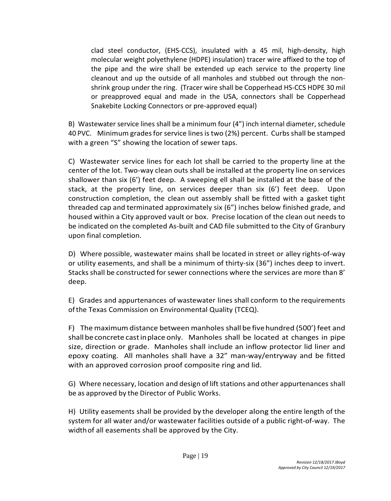clad steel conductor, (EHS-CCS), insulated with a 45 mil, high-density, high molecular weight polyethylene (HDPE) insulation) tracer wire affixed to the top of the pipe and the wire shall be extended up each service to the property line cleanout and up the outside of all manholes and stubbed out through the nonshrink group under the ring. (Tracer wire shall be Copperhead HS-CCS HDPE 30 mil or preapproved equal and made in the USA, connectors shall be Copperhead Snakebite Locking Connectors or pre-approved equal)

B) Wastewater service lines shall be a minimum four (4") inch internal diameter, schedule 40 PVC. Minimum grades for service lines is two (2%) percent. Curbs shall be stamped with a green "S" showing the location of sewer taps.

C) Wastewater service lines for each lot shall be carried to the property line at the center of the lot. Two-way clean outs shall be installed at the property line on services shallower than six (6') feet deep. A sweeping ell shall be installed at the base of the stack, at the property line, on services deeper than six (6') feet deep. Upon construction completion, the clean out assembly shall be fitted with a gasket tight threaded cap and terminated approximately six (6") inches below finished grade, and housed within a City approved vault or box. Precise location of the clean out needs to be indicated on the completed As-built and CAD file submitted to the City of Granbury upon final completion.

D) Where possible, wastewater mains shall be located in street or alley rights-of-way or utility easements, and shall be a minimum of thirty-six (36") inches deep to invert. Stacks shall be constructed for sewer connections where the services are more than 8' deep.

E) Grades and appurtenances of wastewater lines shall conform to the requirements ofthe Texas Commission on Environmental Quality (TCEQ).

F) The maximum distance between manholes shall be fivehundred (500') feet and shallbeconcrete castinplace only. Manholes shall be located at changes in pipe size, direction or grade. Manholes shall include an inflow protector lid liner and epoxy coating. All manholes shall have a 32" man-way/entryway and be fitted with an approved corrosion proof composite ring and lid.

G) Where necessary, location and design of lift stations and other appurtenances shall be as approved by the Director of Public Works.

H) Utility easements shall be provided by the developer along the entire length of the system for all water and/or wastewater facilities outside of a public right-of-way. The widthof all easements shall be approved by the City.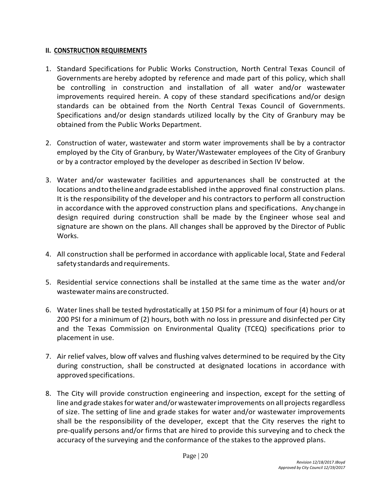#### **II. CONSTRUCTION REQUIREMENTS**

- 1. Standard Specifications for Public Works Construction, North Central Texas Council of Governments are hereby adopted by reference and made part of this policy, which shall be controlling in construction and installation of all water and/or wastewater improvements required herein. A copy of these standard specifications and/or design standards can be obtained from the North Central Texas Council of Governments. Specifications and/or design standards utilized locally by the City of Granbury may be obtained from the Public Works Department.
- 2. Construction of water, wastewater and storm water improvements shall be by a contractor employed by the City of Granbury, by Water/Wastewater employees of the City of Granbury or by a contractor employed by the developer as described in Section IV below.
- 3. Water and/or wastewater facilities and appurtenances shall be constructed at the locations and to the line and grade established in the approved final construction plans. It is the responsibility of the developer and his contractors to perform all construction in accordance with the approved construction plans and specifications. Any change in design required during construction shall be made by the Engineer whose seal and signature are shown on the plans. All changes shall be approved by the Director of Public Works.
- 4. All construction shall be performed in accordance with applicable local, State and Federal safety standards andrequirements.
- 5. Residential service connections shall be installed at the same time as the water and/or wastewatermains areconstructed.
- 6. Water lines shall be tested hydrostatically at 150 PSI for a minimum of four (4) hours or at 200 PSI for a minimum of (2) hours, both with no loss in pressure and disinfected per City and the Texas Commission on Environmental Quality (TCEQ) specifications prior to placement in use.
- 7. Air relief valves, blow off valves and flushing valves determined to be required by the City during construction, shall be constructed at designated locations in accordance with approvedspecifications.
- 8. The City will provide construction engineering and inspection, except for the setting of line and grade stakes for water and/or wastewater improvements on all projects regardless of size. The setting of line and grade stakes for water and/or wastewater improvements shall be the responsibility of the developer, except that the City reserves the right to pre-qualify persons and/or firms that are hired to provide this surveying and to check the accuracy ofthe surveying and the conformance of the stakes to the approved plans.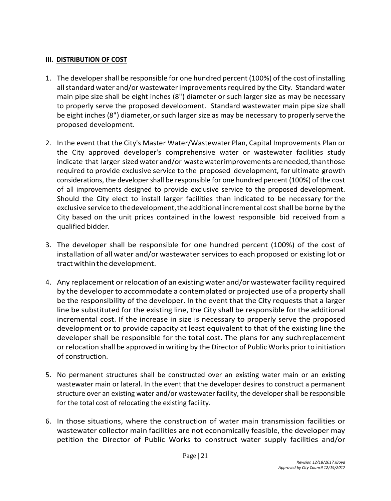#### **III. DISTRIBUTION OF COST**

- 1. The developer shall be responsible for one hundred percent (100%) of the cost of installing all standard water and/or wastewater improvements required by the City. Standard water main pipe size shall be eight inches (8") diameter or such larger size as may be necessary to properly serve the proposed development. Standard wastewater main pipe size shall be eight inches (8") diameter,orsuch larger size as may be necessary to properly serve the proposed development.
- 2. Inthe event that the City's Master Water/Wastewater Plan, Capital Improvements Plan or the City approved developer's comprehensive water or wastewater facilities study indicate that larger sized water and/or waste waterimprovements are needed, than those required to provide exclusive service to the proposed development, for ultimate growth considerations, the developer shall be responsible for one hundred percent (100%) of the cost of all improvements designed to provide exclusive service to the proposed development. Should the City elect to install larger facilities than indicated to be necessary for the exclusive service to the development, the additional incremental cost shall be borne by the City based on the unit prices contained in the lowest responsible bid received from a qualified bidder.
- 3. The developer shall be responsible for one hundred percent (100%) of the cost of installation of all water and/or wastewater services to each proposed or existing lot or tract within the development.
- 4. Any replacement orrelocation of an existing water and/orwastewaterfacility required by the developer to accommodate a contemplated or projected use of a property shall be the responsibility of the developer. In the event that the City requests that a larger line be substituted for the existing line, the City shall be responsible for the additional incremental cost. If the increase in size is necessary to properly serve the proposed development or to provide capacity at least equivalent to that of the existing line the developer shall be responsible for the total cost. The plans for any suchreplacement or relocation shall be approved in writing by the Director of Public Works prior to initiation of construction.
- 5. No permanent structures shall be constructed over an existing water main or an existing wastewater main or lateral. In the event that the developer desires to construct a permanent structure over an existing water and/or wastewater facility, the developer shall be responsible for the total cost of relocating the existing facility.
- 6. In those situations, where the construction of water main transmission facilities or wastewater collector main facilities are not economically feasible, the developer may petition the Director of Public Works to construct water supply facilities and/or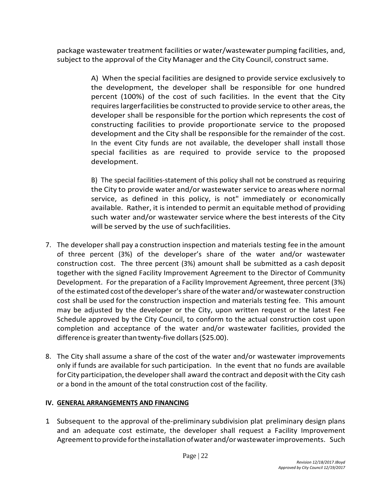package wastewater treatment facilities or water/wastewater pumping facilities, and, subject to the approval of the City Manager and the City Council, construct same.

> A) When the special facilities are designed to provide service exclusively to the development, the developer shall be responsible for one hundred percent (100%) of the cost of such facilities. In the event that the City requires largerfacilities be constructed to provide service to other areas, the developer shall be responsible forthe portion which represents the cost of constructing facilities to provide proportionate service to the proposed development and the City shall be responsible for the remainder of the cost. In the event City funds are not available, the developer shall install those special facilities as are required to provide service to the proposed development.

> B) The special facilities-statement of this policy shall not be construed as requiring the City to provide water and/or wastewater service to areas where normal service, as defined in this policy, is not" immediately or economically available. Rather, it is intended to permit an equitable method of providing such water and/or wastewater service where the best interests of the City will be served by the use of suchfacilities.

- 7. The developer shall pay a construction inspection and materials testing fee in the amount of three percent (3%) of the developer's share of the water and/or wastewater construction cost. The three percent (3%) amount shall be submitted as a cash deposit together with the signed Facility Improvement Agreement to the Director of Community Development. For the preparation of a Facility Improvement Agreement, three percent (3%) of the estimated costofthe developer'sshare ofthewater and/orwastewater construction cost shall be used for the construction inspection and materials testing fee. This amount may be adjusted by the developer or the City, upon written request or the latest Fee Schedule approved by the City Council, to conform to the actual construction cost upon completion and acceptance of the water and/or wastewater facilities, provided the difference is greater than twenty-five dollars (\$25.00).
- 8. The City shall assume a share of the cost of the water and/or wastewater improvements only if funds are available forsuch participation. In the event that no funds are available for City participation, the developer shall award the contract and deposit with the City cash or a bond in the amount of the total construction cost of the facility.

#### **IV. GENERAL ARRANGEMENTS AND FINANCING**

1. Subsequent to the approval of the-preliminary subdivision plat preliminary design plans and an adequate cost estimate, the developer shall request a Facility Improvement Agreement to provide for the installation of water and/or wastewater improvements. Such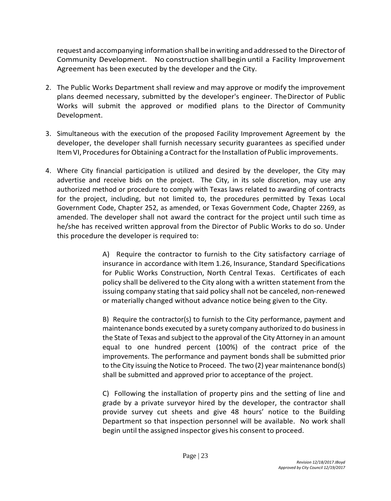request and accompanying information shall be inwriting and addressed to the Directorof Community Development. No construction shall begin until a Facility Improvement Agreement has been executed by the developer and the City.

- 2. The Public Works Department shall review and may approve or modify the improvement plans deemed necessary, submitted by the developer's engineer. TheDirector of Public Works will submit the approved or modified plans to the Director of Community Development.
- 3. Simultaneous with the execution of the proposed Facility Improvement Agreement by the developer, the developer shall furnish necessary security guarantees as specified under Item VI, Procedures for Obtaining a Contract for the Installation of Public improvements.
- 4. Where City financial participation is utilized and desired by the developer, the City may advertise and receive bids on the project. The City, in its sole discretion, may use any authorized method or procedure to comply with Texas laws related to awarding of contracts for the project, including, but not limited to, the procedures permitted by Texas Local Government Code, Chapter 252, as amended, or Texas Government Code, Chapter 2269, as amended. The developer shall not award the contract for the project until such time as he/she has received written approval from the Director of Public Works to do so. Under this procedure the developer is required to:

A) Require the contractor to furnish to the City satisfactory carriage of insurance in accordance with Item 1.26, Insurance, Standard Specifications for Public Works Construction, North Central Texas. Certificates of each policy shall be delivered to the City along with a written statement from the issuing company stating that said policy shall not be canceled, non-renewed or materially changed without advance notice being given to the City.

B) Require the contractor(s) to furnish to the City performance, payment and maintenance bonds executed by a surety company authorized to do business in the State of Texas and subject to the approval of the City Attorney in an amount equal to one hundred percent (100%) of the contract price of the improvements. The performance and payment bonds shall be submitted prior to the City issuing the Notice to Proceed. The two (2) year maintenance bond(s) shall be submitted and approved prior to acceptance of the project.

C) Following the installation of property pins and the setting of line and grade by a private surveyor hired by the developer, the contractor shall provide survey cut sheets and give 48 hours' notice to the Building Department so that inspection personnel will be available. No work shall begin until the assigned inspector gives his consent to proceed.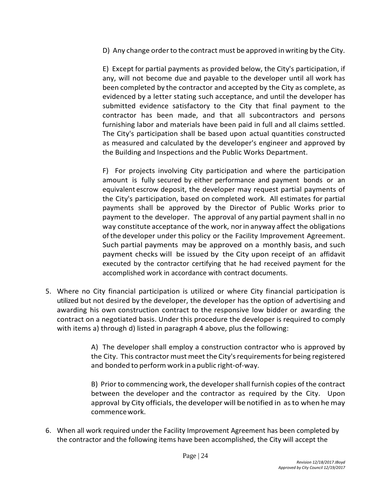D) Any change orderto the contract must be approved inwriting by the City.

E) Except for partial payments as provided below, the City's participation, if any, will not become due and payable to the developer until all work has been completed by the contractor and accepted by the City as complete, as evidenced by a letter stating such acceptance, and until the developer has submitted evidence satisfactory to the City that final payment to the contractor has been made, and that all subcontractors and persons furnishing labor and materials have been paid in full and all claims settled. The City's participation shall be based upon actual quantities constructed as measured and calculated by the developer's engineer and approved by the Building and Inspections and the Public Works Department.

F) For projects involving City participation and where the participation amount is fully secured by either performance and payment bonds or an equivalent escrow deposit, the developer may request partial payments of the City's participation, based on completed work. All estimates for partial payments shall be approved by the Director of Public Works prior to payment to the developer. The approval of any partial payment shall in no way constitute acceptance of the work, norin anyway affect the obligations ofthe developer under this policy or the Facility Improvement Agreement. Such partial payments may be approved on a monthly basis, and such payment checks will be issued by the City upon receipt of an affidavit executed by the contractor certifying that he had received payment for the accomplished work in accordance with contract documents.

5. Where no City financial participation is utilized or where City financial participation is utilized but not desired by the developer, the developer has the option of advertising and awarding his own construction contract to the responsive low bidder or awarding the contract on a negotiated basis. Under this procedure the developer is required to comply with items a) through d) listed in paragraph 4 above, plus the following:

> A) The developer shall employ a construction contractor who is approved by the City. This contractor must meet the City's requirements for being registered and bonded to perform work in a public right-of-way.

> B) Prior to commencing work, the developershall furnish copies of the contract between the developer and the contractor as required by the City. Upon approval by City officials, the developer will benotified in asto when hemay commencework.

6. When all work required under the Facility Improvement Agreement has been completed by the contractor and the following items have been accomplished, the City will accept the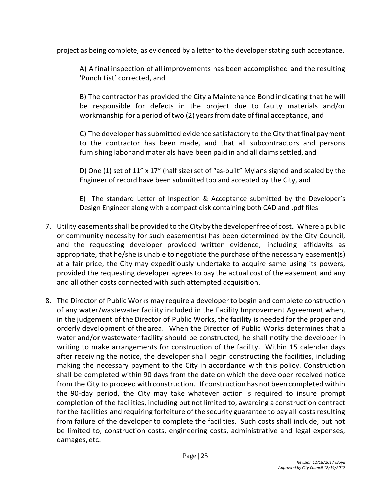project as being complete, as evidenced by a letter to the developer stating such acceptance.

A) A final inspection of all improvements has been accomplished and the resulting 'Punch List' corrected, and

B) The contractor has provided the City a Maintenance Bond indicating that he will be responsible for defects in the project due to faulty materials and/or workmanship for a period of two (2) years from date of final acceptance, and

C) The developer has submitted evidence satisfactory to the City that final payment to the contractor has been made, and that all subcontractors and persons furnishing labor and materials have been paid in and all claims settled, and

D) One (1) set of 11" x 17" (half size) set of "as-built" Mylar's signed and sealed by the Engineer of record have been submitted too and accepted by the City, and

E) The standard Letter of Inspection & Acceptance submitted by the Developer's Design Engineer along with a compact disk containing both CAD and .pdf files

- 7. Utility easements shall be provided to the City by the developer free of cost. Where a public or community necessity for such easement(s) has been determined by the City Council, and the requesting developer provided written evidence, including affidavits as appropriate, that he/she is unable to negotiate the purchase ofthe necessary easement(s) at a fair price, the City may expeditiously undertake to acquire same using its powers, provided the requesting developer agrees to pay the actual cost of the easement and any and all other costs connected with such attempted acquisition.
- 8. The Director of Public Works may require a developer to begin and complete construction of any water/wastewater facility included in the Facility Improvement Agreement when, in the judgement of the Director of Public Works, the facility is needed for the proper and orderly development of the area. When the Director of Public Works determines that a water and/or wastewater facility should be constructed, he shall notify the developer in writing to make arrangements for construction of the facility. Within 15 calendar days after receiving the notice, the developer shall begin constructing the facilities, including making the necessary payment to the City in accordance with this policy. Construction shall be completed within 90 days from the date on which the developer received notice from the City to proceed with construction. If construction has not beencompleted within the 90-day period, the City may take whatever action is required to insure prompt completion of the facilities, including but not limited to, awarding a construction contract for the facilities and requiring forfeiture of the security guarantee to pay all costs resulting from failure of the developer to complete the facilities. Such costs shall include, but not be limited to, construction costs, engineering costs, administrative and legal expenses, damages, etc.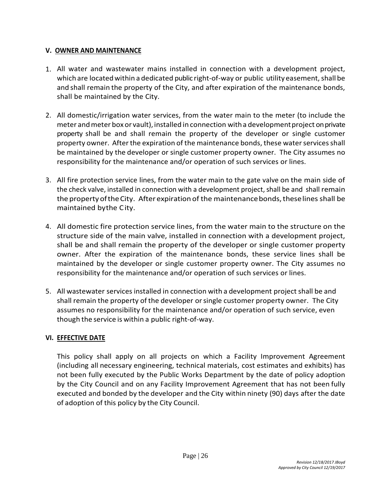#### **V. OWNER AND MAINTENANCE**

- 1. All water and wastewater mains installed in connection with a development project, which are located within a dedicated public right-of-way or public utility easement, shall be and shall remain the property of the City, and after expiration of the maintenance bonds, shall be maintained by the City.
- 2. All domestic/irrigation water services, from the water main to the meter (to include the meter andmeter box or vault), installed in connection witha developmentproject on private property shall be and shall remain the property of the developer or single customer property owner. After the expiration of the maintenance bonds, these water servicesshall be maintained by the developer or single customer property owner. The City assumes no responsibility for the maintenance and/or operation of such services or lines.
- 3. All fire protection service lines, from the water main to the gate valve on the main side of the check valve, installed in connection with a development project, shall be and shall remain the property of the City. After expiration of the maintenance bonds, these lines shall be maintained bythe City.
- 4. All domestic fire protection service lines, from the water main to the structure on the structure side of the main valve, installed in connection with a development project, shall be and shall remain the property of the developer or single customer property owner. After the expiration of the maintenance bonds, these service lines shall be maintained by the developer or single customer property owner. The City assumes no responsibility for the maintenance and/or operation of such services or lines.
- 5. All wastewater services installed in connection with a development project shall be and shall remain the property of the developer orsingle customer property owner. The City assumes no responsibility for the maintenance and/or operation of such service, even though the service is within a public right-of-way.

#### **VI. EFFECTIVE DATE**

This policy shall apply on all projects on which a Facility Improvement Agreement (including all necessary engineering, technical materials, cost estimates and exhibits) has not been fully executed by the Public Works Department by the date of policy adoption by the City Council and on any Facility Improvement Agreement that has not been fully executed and bonded by the developer and the City within ninety (90) days after the date of adoption of this policy by the City Council.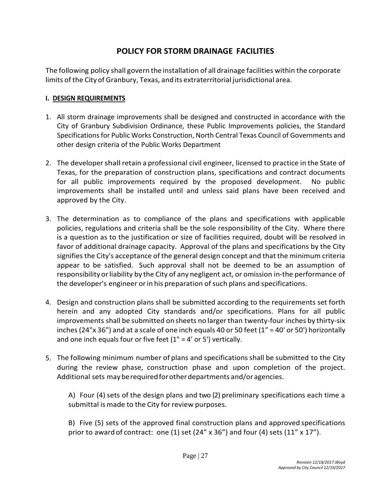# **POLICY FOR STORM DRAINAGE FACILITIES**

The following policy shall govern the installation of all drainage facilities within the corporate limits ofthe Cityof Granbury, Texas, and its extraterritorial jurisdictional area.

# **I. DESIGN REQUIREMENTS**

- 1. All storm drainage improvements shall be designed and constructed in accordance with the City of Granbury Subdivision Ordinance, these Public Improvements policies, the Standard Specifications for Public Works Construction, North Central Texas Council of Governments and other design criteria of the Public Works Department
- 2. The developershall retain a professional civil engineer, licensed to practice in the State of Texas, for the preparation of construction plans, specifications and contract documents for all public improvements required by the proposed development. No public improvements shall be installed until and unless said plans have been received and approved by the City.
- 3. The determination as to compliance of the plans and specifications with applicable policies, regulations and criteria shall be the sole responsibility of the City. Where there is a question as to the justification or size of facilities required, doubt will be resolved in favor of additional drainage capacity. Approval of the plans and specifications by the City signifies the City's acceptance of the general design concept and that the minimum criteria appear to be satisfied. Such approval shall not be deemed to be an assumption of responsibility or liability by the City of any negligent act, or omission in-the performance of the developer's engineer or in his preparation of such plans and specifications.
- 4. Design and construction plans shall be submitted according to the requirements set forth herein and any adopted City standards and/or specifications. Plans for all public improvements shall be submitted on sheets no largerthan twenty-four inches by thirty-six inches (24"x 36") and at a scale of one inch equals 40 or 50 feet (1" = 40' or 50') horizontally and one inch equals four or five feet  $(1" = 4'$  or 5') vertically.
- 5. The following minimum number of plans and specifications shall be submitted to the City during the review phase, construction phase and upon completion of the project. Additional sets mayberequiredforotherdepartments and/oragencies.

A) Four (4) sets of the design plans and two (2) preliminary specifications each time a submittal is made to the City for review purposes.

B) Five (5) sets of the approved final construction plans and approved specifications prior to award of contract: one (1) set (24"  $\times$  36") and four (4) sets (11"  $\times$  17").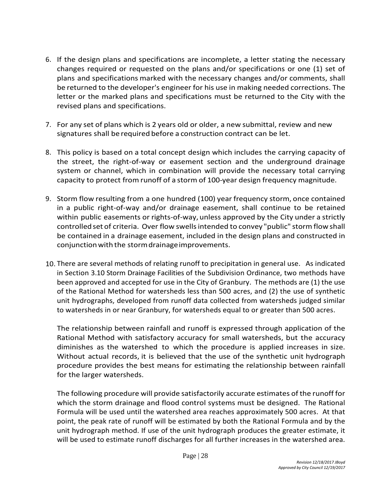- 6. If the design plans and specifications are incomplete, a letter stating the necessary changes required or requested on the plans and/or specifications or one (1) set of plans and specifications marked with the necessary changes and/or comments, shall be returned to the developer's engineer for his use in making needed corrections. The letter or the marked plans and specifications must be returned to the City with the revised plans and specifications.
- 7. For any set of plans which is 2 years old or older, a new submittal, review and new signatures shall be required before a construction contract can be let.
- 8. This policy is based on a total concept design which includes the carrying capacity of the street, the right-of-way or easement section and the underground drainage system or channel, which in combination will provide the necessary total carrying capacity to protect from runoff of a storm of 100-year design frequency magnitude.
- 9. Storm flow resulting from a one hundred (100) year frequency storm, once contained in a public right-of-way and/or drainage easement, shall continue to be retained within public easements or rights-of-way, unless approved by the City under a strictly controlled set of criteria. Over flow swellsintended to convey "public" storm flowshall be contained in a drainage easement, included in the design plans and constructed in conjunction with the storm drainage improvements.
- 10. There are several methods of relating runoff to precipitation in general use. As indicated in Section 3.10 Storm Drainage Facilities of the Subdivision Ordinance, two methods have been approved and accepted for use in the City of Granbury. The methods are (1) the use of the Rational Method for watersheds less than 500 acres, and (2) the use of synthetic unit hydrographs, developed from runoff data collected from watersheds judged similar to watersheds in or near Granbury, for watersheds equal to or greater than 500 acres.

The relationship between rainfall and runoff is expressed through application of the Rational Method with satisfactory accuracy for small watersheds, but the accuracy diminishes as the watershed to which the procedure is applied increases in size. Without actual records, it is believed that the use of the synthetic unit hydrograph procedure provides the best means for estimating the relationship between rainfall for the larger watersheds.

The following procedure will provide satisfactorily accurate estimates of the runoff for which the storm drainage and flood control systems must be designed. The Rational Formula will be used until the watershed area reaches approximately 500 acres. At that point, the peak rate of runoff will be estimated by both the Rational Formula and by the unit hydrograph method. If use of the unit hydrograph produces the greater estimate, it will be used to estimate runoff discharges for all further increases in the watershed area.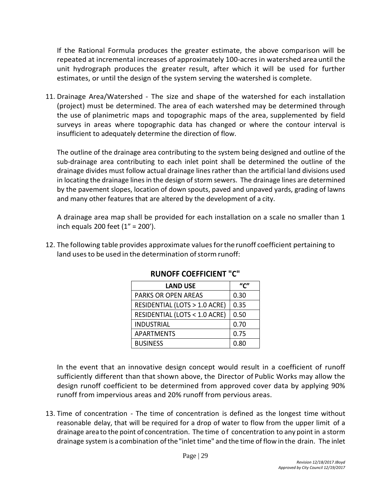If the Rational Formula produces the greater estimate, the above comparison will be repeated at incremental increases of approximately 100-acres in watershed area until the unit hydrograph produces the greater result, after which it will be used for further estimates, or until the design of the system serving the watershed is complete.

11. Drainage Area/Watershed - The size and shape of the watershed for each installation (project) must be determined. The area of each watershed may be determined through the use of planimetric maps and topographic maps of the area, supplemented by field surveys in areas where topographic data has changed or where the contour interval is insufficient to adequately determine the direction of flow.

The outline of the drainage area contributing to the system being designed and outline of the sub-drainage area contributing to each inlet point shall be determined the outline of the drainage divides must follow actual drainage lines rather than the artificial land divisions used in locating the drainage lines in the design of storm sewers. The drainage lines are determined by the pavement slopes, location of down spouts, paved and unpaved yards, grading of lawns and many other features that are altered by the development of a city.

A drainage area map shall be provided for each installation on a scale no smaller than 1 inch equals 200 feet (1" = 200').

12. The following table provides approximate valuesforthe runoff coefficient pertaining to land uses to be used in the determination of storm runoff:

| <b>LAND USE</b>               | "י"  |
|-------------------------------|------|
| PARKS OR OPEN AREAS           | 0.30 |
| RESIDENTIAL (LOTS > 1.0 ACRE) | 0.35 |
| RESIDENTIAL (LOTS < 1.0 ACRE) | 0.50 |
| INDUSTRIAL                    | 0.70 |
| <b>APARTMENTS</b>             | 0.75 |
| <b>BUSINESS</b>               | 0.80 |

**RUNOFF COEFFICIENT "C"**

In the event that an innovative design concept would result in a coefficient of runoff sufficiently different than that shown above, the Director of Public Works may allow the design runoff coefficient to be determined from approved cover data by applying 90% runoff from impervious areas and 20% runoff from pervious areas.

13. Time of concentration - The time of concentration is defined as the longest time without reasonable delay, that will be required for a drop of water to flow from the upper limit of a drainage area to the point of concentration. The time of concentration to any point in a storm drainage system is a combination ofthe"inlet time" and the time of flow in the drain. The inlet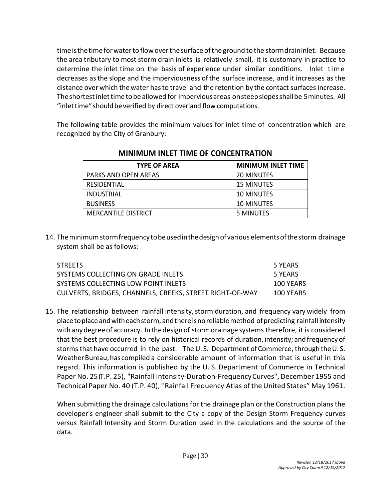time is the time for water to flow over the surface of the ground to the storm drain inlet. Because the area tributary to most storm drain inlets is relatively small, it is customary in practice to determine the inlet time on the basis of experience under similar conditions. Inlet time decreases asthe slope and the imperviousness ofthe surface increase, and it increases as the distance over which thewater hasto travel and the retention by the contact surfaces increase. Theshortestinlettimetobe allowed for imperviousareas onsteepslopesshallbe 5minutes. All "inlet time" should be verified by direct overland flow computations.

The following table provides the minimum values for inlet time of concentration which are recognized by the City of Granbury:

| <b>TYPE OF AREA</b>        | <b>MINIMUM INLET TIME</b> |
|----------------------------|---------------------------|
| PARKS AND OPEN AREAS       | 20 MINUTES                |
| RESIDENTIAL                | <b>15 MINUTES</b>         |
| INDUSTRIAL                 | <b>10 MINUTES</b>         |
| <b>BUSINESS</b>            | <b>10 MINUTES</b>         |
| <b>MERCANTILE DISTRICT</b> | 5 MINUTES                 |

# **MINIMUM INLET TIME OF CONCENTRATION**

14. Theminimumstormfrequency tobeusedinthedesignofvarious elementsofthestorm drainage system shall be as follows:

| <b>STREETS</b>                                           | 5 YEARS   |
|----------------------------------------------------------|-----------|
| SYSTEMS COLLECTING ON GRADE INLETS                       | 5 YEARS   |
| SYSTEMS COLLECTING LOW POINT INLETS                      | 100 YEARS |
| CULVERTS, BRIDGES, CHANNELS, CREEKS, STREET RIGHT-OF-WAY | 100 YEARS |

15. The relationship between rainfall intensity, storm duration, and frequency vary widely from place to place and with each storm, and there is no reliable method of predicting rainfall intensify with anydegreeof accuracy. Inthedesign of stormdrainage systems therefore, it is considered that the best procedure is to rely on historical records of duration, intensity; andfrequency of storms that have occurred in the past. The U. S. Department of Commerce, through theU. S. Weather Bureau, has compiled a considerable amount of information that is useful in this regard. This information is published by the U. S. Department of Commerce in Technical Paper No. 25 (T.P. 25), "Rainfall Intensity-Duration-Frequency Curves", December 1955 and Technical Paper No. 40 (T.P. 40), "Rainfall Frequency Atlas of the United States" May 1961.

When submitting the drainage calculations for the drainage plan or the Construction plans the developer's engineer shall submit to the City a copy of the Design Storm Frequency curves versus Rainfall Intensity and Storm Duration used in the calculations and the source of the data.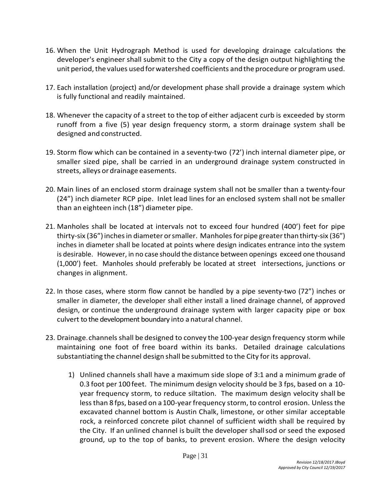- 16. When the Unit Hydrograph Method is used for developing drainage calculations the developer's engineer shall submit to the City a copy of the design output highlighting the unit period, the values used for watershed coefficients and the procedure or program used.
- 17. Each installation (project) and/or development phase shall provide a drainage system which is fully functional and readily maintained.
- 18. Whenever the capacity of a street to the top of either adjacent curb is exceeded by storm runoff from a five (5) year design frequency storm, a storm drainage system shall be designed and constructed.
- 19. Storm flow which can be contained in a seventy-two (72') inch internal diameter pipe, or smaller sized pipe, shall be carried in an underground drainage system constructed in streets, alleys or drainage easements.
- 20. Main lines of an enclosed storm drainage system shall not be smaller than a twenty-four (24") inch diameter RCP pipe. Inlet lead lines for an enclosed system shall not be smaller than an eighteen inch (18") diameter pipe.
- 21. Manholes shall be located at intervals not to exceed four hundred (400') feet for pipe thirty-six (36") inches in diameter or smaller. Manholes for pipe greater than thirty-six (36") inches in diameter shall be located at points where design indicates entrance into the system is desirable. However, in no case should the distance between openings exceed one thousand (1,000') feet. Manholes should preferably be located at street intersections, junctions or changes in alignment.
- 22. In those cases, where storm flow cannot be handled by a pipe seventy-two (72") inches or smaller in diameter, the developer shall either install a lined drainage channel, of approved design, or continue the underground drainage system with larger capacity pipe or box culvert to the development boundary into a natural channel.
- 23. Drainage.channels shall be designed to convey the 100-year design frequency storm while maintaining one foot of free board within its banks. Detailed drainage calculations substantiating the channel design shall be submitted to the City forits approval.
	- 1) Unlined channels shall have a maximum side slope of 3:1 and a minimum grade of 0.3 foot per 100 feet. The minimum design velocity should be 3 fps, based on a 10 year frequency storm, to reduce siltation. The maximum design velocity shall be lessthan 8 fps, based on a 100-yearfrequency storm, to control erosion. Unlessthe excavated channel bottom is Austin Chalk, limestone, or other similar acceptable rock, a reinforced concrete pilot channel of sufficient width shall be required by the City. If an unlined channel is built the developer shallsod or seed the exposed ground, up to the top of banks, to prevent erosion. Where the design velocity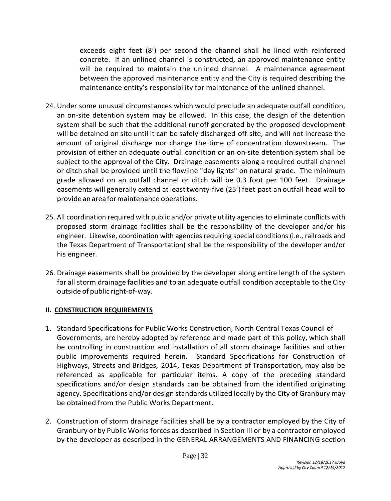exceeds eight feet (8') per second the channel shall he lined with reinforced concrete. If an unlined channel is constructed, an approved maintenance entity will be required to maintain the unlined channel. A maintenance agreement between the approved maintenance entity and the City is required describing the maintenance entity's responsibility for maintenance of the unlined channel.

- 24. Under some unusual circumstances which would preclude an adequate outfall condition, an on-site detention system may be allowed. In this case, the design of the detention system shall be such that the additional runoff generated by the proposed development will be detained on site until it can be safely discharged off-site, and will not increase the amount of original discharge nor change the time of concentration downstream. The provision of either an adequate outfall condition or an on-site detention system shall be subject to the approval of the City. Drainage easements along a required outfall channel or ditch shall be provided until the flowline "day lights" on natural grade. The minimum grade allowed on an outfall channel or ditch will be 0.3 foot per 100 feet. Drainage easements will generally extend at leasttwenty-five (25') feet past an outfall head wall to provide anareaformaintenance operations.
- 25. All coordination required with public and/or private utility agencies to eliminate conflicts with proposed storm drainage facilities shall be the responsibility of the developer and/or his engineer. Likewise, coordination with agencies requiring special conditions (i.e., railroads and the Texas Department of Transportation) shall be the responsibility of the developer and/or his engineer.
- 26. Drainage easements shall be provided by the developer along entire length of the system for all storm drainage facilities and to an adequate outfall condition acceptable to the City outside of public right-of-way.

#### **II. CONSTRUCTION REQUIREMENTS**

- 1. Standard Specifications for Public Works Construction, North Central Texas Council of Governments, are hereby adopted by reference and made part of this policy, which shall be controlling in construction and installation of all storm drainage facilities and other public improvements required herein. Standard Specifications for Construction of Highways, Streets and Bridges, 2014, Texas Department of Transportation, may also be referenced as applicable for particular items. A copy of the preceding standard specifications and/or design standards can be obtained from the identified originating agency. Specifications and/or design standards utilized locally by the City of Granbury may be obtained from the Public Works Department.
- 2. Construction of storm drainage facilities shall be by a contractor employed by the City of Granbury or by Public Works forces as described in Section III or by a contractor employed by the developer as described in the GENERAL ARRANGEMENTS AND FINANCING section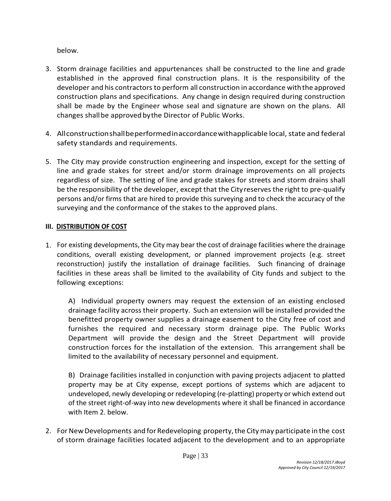below.

- 3. Storm drainage facilities and appurtenances shall be constructed to the line and grade established in the approved final construction plans. It is the responsibility of the developer and his contractors to perform all construction in accordance withthe approved construction plans and specifications. Any change in design required during construction shall be made by the Engineer whose seal and signature are shown on the plans. All changes shallbe approved bythe Director of Public Works.
- 4. Allconstructionshallbeperformedinaccordancewithapplicable local, state and federal safety standards and requirements.
- 5. The City may provide construction engineering and inspection, except for the setting of line and grade stakes for street and/or storm drainage improvements on all projects regardless of size. The setting of line and grade stakes for streets and storm drains shall be the responsibility of the developer, except that the City reserves the right to pre-qualify persons and/or firms that are hired to provide this surveying and to check the accuracy of the surveying and the conformance of the stakes to the approved plans.

# **III. DISTRIBUTION OF COST**

1. For existing developments, the City may bear the cost of drainage facilities where the drainage conditions, overall existing development, or planned improvement projects (e.g. street reconstruction) justify the installation of drainage facilities. Such financing of drainage facilities in these areas shall be limited to the availability of City funds and subject to the following exceptions:

A) Individual property owners may request the extension of an existing enclosed drainage facility across their property. Such an extension will be installed provided the benefitted property owner supplies a drainage easement to the City free of cost and furnishes the required and necessary storm drainage pipe. The Public Works Department will provide the design and the Street Department will provide construction forces for the installation of the extension. This arrangement shall be limited to the availability of necessary personnel and equipment.

B) Drainage facilities installed in conjunction with paving projects adjacent to platted property may be at City expense, except portions of systems which are adjacent to undeveloped, newly developing or redeveloping (re-platting) property or which extend out of the street right-of-way into new developments where it shall be financed in accordance with Item 2. below.

2. For New Developments and for Redeveloping property, the City may participate in the cost of storm drainage facilities located adjacent to the development and to an appropriate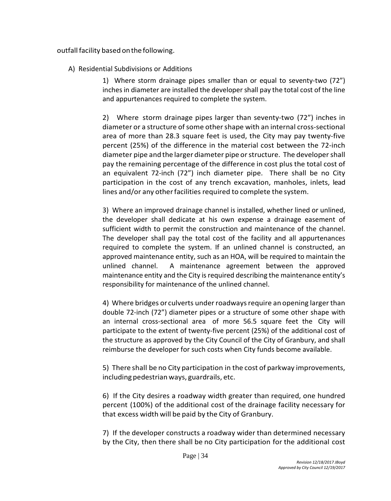outfall facility based on the following.

A) Residential Subdivisions or Additions

1) Where storm drainage pipes smaller than or equal to seventy-two (72") inches in diameter are installed the developer shall pay the total cost of the line and appurtenances required to complete the system.

2) Where storm drainage pipes larger than seventy-two (72") inches in diameter or a structure of some other shape with an internal cross-sectional area of more than 28.3 square feet is used, the City may pay twenty-five percent (25%) of the difference in the material cost between the 72-inch diameter pipe and the larger diameter pipe orstructure. The developershall pay the remaining percentage of the difference in cost plus the total cost of an equivalent 72-inch (72") inch diameter pipe. There shall be no City participation in the cost of any trench excavation, manholes, inlets, lead lines and/or any other facilities required to complete the system.

3) Where an improved drainage channel is installed, whether lined or unlined, the developer shall dedicate at his own expense a drainage easement of sufficient width to permit the construction and maintenance of the channel. The developer shall pay the total cost of the facility and all appurtenances required to complete the system. If an unlined channel is constructed, an approved maintenance entity, such as an HOA, will be required to maintain the unlined channel. A maintenance agreement between the approved maintenance entity and the City is required describing the maintenance entity's responsibility for maintenance of the unlined channel.

4) Where bridges or culverts underroadwaysrequire an opening larger than double 72-inch (72") diameter pipes or a structure of some other shape with an internal cross-sectional area of more 56.5 square feet the City will participate to the extent of twenty-five percent (25%) of the additional cost of the structure as approved by the City Council of the City of Granbury, and shall reimburse the developer for such costs when City funds become available.

5) There shall be no City participation in the cost of parkway improvements, including pedestrian ways, guardrails, etc.

6) If the City desires a roadway width greater than required, one hundred percent (100%) of the additional cost of the drainage facility necessary for that excess width will be paid by the City of Granbury.

7) If the developer constructs a roadway wider than determined necessary by the City, then there shall be no City participation for the additional cost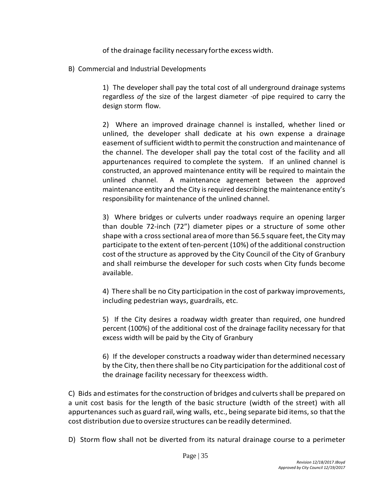of the drainage facility necessary forthe excess width.

B) Commercial and Industrial Developments

1) The developer shall pay the total cost of all underground drainage systems regardless *of* the size of the largest diameter ·of pipe required to carry the design storm flow.

2) Where an improved drainage channel is installed, whether lined or unlined, the developer shall dedicate at his own expense a drainage easement ofsufficient width to permit the construction and maintenance of the channel. The developer shall pay the total cost of the facility and all appurtenances required to complete the system. If an unlined channel is constructed, an approved maintenance entity will be required to maintain the unlined channel. A maintenance agreement between the approved maintenance entity and the City is required describing the maintenance entity's responsibility for maintenance of the unlined channel.

3) Where bridges or culverts under roadways require an opening larger than double 72-inch (72") diameter pipes or a structure of some other shape with a cross sectional area of more than 56.5 square feet, the City may participate to the extent of ten-percent (10%) of the additional construction cost of the structure as approved by the City Council of the City of Granbury and shall reimburse the developer for such costs when City funds become available.

4) There shall be no City participation in the cost of parkway improvements, including pedestrian ways, guardrails, etc.

5) If the City desires a roadway width greater than required, one hundred percent (100%) of the additional cost of the drainage facility necessary for that excess width will be paid by the City of Granbury

6) If the developer constructs a roadway widerthan determined necessary by the City, then there shall be no City participation forthe additional cost of the drainage facility necessary for theexcess width.

C) Bids and estimates forthe construction of bridges and culverts shall be prepared on a unit cost basis for the length of the basic structure (width of the street) with all appurtenances such as guard rail, wing walls, etc., being separate bid items, so that the cost distribution due to oversize structures can be readily determined.

D) Storm flow shall not be diverted from its natural drainage course to a perimeter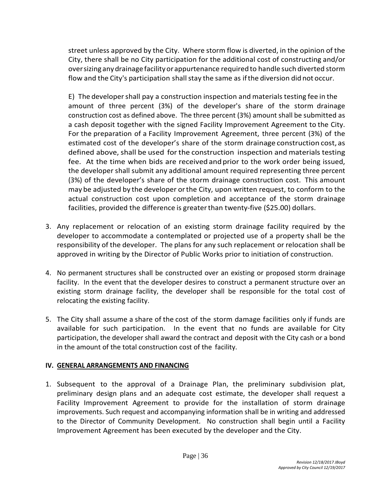street unless approved by the City. Where storm flow is diverted, in the opinion of the City, there shall be no City participation for the additional cost of constructing and/or oversizinganydrainage facilityorappurtenance requiredto handle such diverted storm flow and the City's participation shall stay the same as if the diversion did not occur.

E) The developershall pay a construction inspection and materials testing fee in the amount of three percent (3%) of the developer's share of the storm drainage construction cost as defined above. The three percent (3%) amount shall be submitted as a cash deposit together with the signed Facility Improvement Agreement to the City. For the preparation of a Facility Improvement Agreement, three percent (3%) of the estimated cost of the developer's share of the storm drainage construction cost, as defined above, shall be used for the construction inspection and materials testing fee. At the time when bids are received andprior to the work order being issued, the developer shall submit any additional amount required representing three percent (3%) of the developer's share of the storm drainage construction cost. This amount may be adjusted by the developer orthe City, upon written request, to conform to the actual construction cost upon completion and acceptance of the storm drainage facilities, provided the difference is greaterthan twenty-five (\$25.00) dollars.

- 3. Any replacement or relocation of an existing storm drainage facility required by the developer to accommodate a contemplated or projected use of a property shall be the responsibility of the developer. The plans for any such replacement or relocation shall be approved in writing by the Director of Public Works prior to initiation of construction.
- 4. No permanent structures shall be constructed over an existing or proposed storm drainage facility. In the event that the developer desires to construct a permanent structure over an existing storm drainage facility, the developer shall be responsible for the total cost of relocating the existing facility.
- 5. The City shall assume a share of the cost of the storm damage facilities only if funds are available for such participation. In the event that no funds are available for City participation, the developer shall award the contract and deposit with the City cash or a bond in the amount of the total construction cost of the facility.

#### **IV. GENERAL ARRANGEMENTS AND FINANCING**

1. Subsequent to the approval of a Drainage Plan, the preliminary subdivision plat, preliminary design plans and an adequate cost estimate, the developer shall request a Facility Improvement Agreement to provide for the installation of storm drainage improvements. Such request and accompanying information shall be in writing and addressed to the Director of Community Development. No construction shall begin until a Facility Improvement Agreement has been executed by the developer and the City.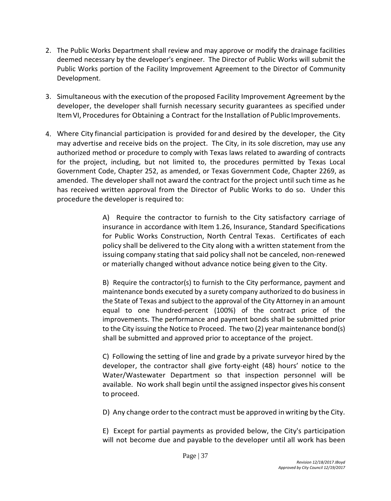- 2. The Public Works Department shall review and may approve or modify the drainage facilities deemed necessary by the developer's engineer. The Director of Public Works will submit the Public Works portion of the Facility Improvement Agreement to the Director of Community Development.
- 3. Simultaneous with the execution of the proposed Facility Improvement Agreement by the developer, the developer shall furnish necessary security guarantees as specified under ItemVI, Procedures for Obtaining a Contract forthe Installation of Public Improvements.
- 4. Where City financial participation is provided for and desired by the developer, the City may advertise and receive bids on the project. The City, in its sole discretion, may use any authorized method or procedure to comply with Texas laws related to awarding of contracts for the project, including, but not limited to, the procedures permitted by Texas Local Government Code, Chapter 252, as amended, or Texas Government Code, Chapter 2269, as amended. The developer shall not award the contract for the project until such time as he has received written approval from the Director of Public Works to do so. Under this procedure the developer is required to:

A) Require the contractor to furnish to the City satisfactory carriage of insurance in accordance with Item 1.26, Insurance, Standard Specifications for Public Works Construction, North Central Texas. Certificates of each policy shall be delivered to the City along with a written statement from the issuing company stating that said policy shall not be canceled, non-renewed or materially changed without advance notice being given to the City.

B) Require the contractor(s) to furnish to the City performance, payment and maintenance bonds executed by a surety company authorized to do business in the State of Texas and subject to the approval of the City Attorney in an amount equal to one hundred-percent (100%) of the contract price of the improvements. The performance and payment bonds shall be submitted prior to the City issuing the Notice to Proceed. The two (2) year maintenance bond(s) shall be submitted and approved prior to acceptance of the project.

C) Following the setting of line and grade by a private surveyor hired by the developer, the contractor shall give forty-eight (48) hours' notice to the Water/Wastewater Department so that inspection personnel will be available. No work shall begin until the assigned inspector gives his consent to proceed.

D) Any change orderto the contract must be approved inwriting by the City.

E) Except for partial payments as provided below, the City's participation will not become due and payable to the developer until all work has been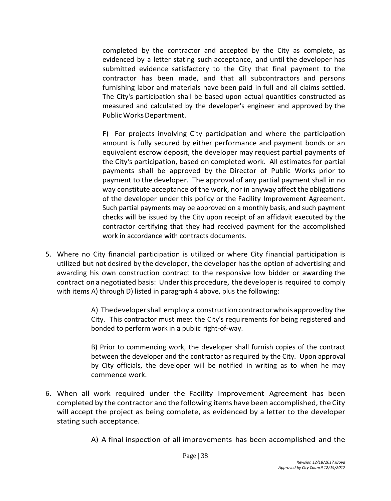completed by the contractor and accepted by the City as complete, as evidenced by a letter stating such acceptance, and until the developer has submitted evidence satisfactory to the City that final payment to the contractor has been made, and that all subcontractors and persons furnishing labor and materials have been paid in full and all claims settled. The City's participation shall be based upon actual quantities constructed as measured and calculated by the developer's engineer and approved by the Public Works Department.

F) For projects involving City participation and where the participation amount is fully secured by either performance and payment bonds or an equivalent escrow deposit, the developer may request partial payments of the City's participation, based on completed work. All estimates for partial payments shall be approved by the Director of Public Works prior to payment to the developer. The approval of any partial payment shall in no way constitute acceptance of the work, nor in anyway affect the obligations of the developer under this policy or the Facility Improvement Agreement. Such partial payments may be approved on a monthly basis, and such payment checks will be issued by the City upon receipt of an affidavit executed by the contractor certifying that they had received payment for the accomplished work in accordance with contracts documents.

5. Where no City financial participation is utilized or where City financial participation is utilized but not desired by the developer, the developer has the option of advertising and awarding his own construction contract to the responsive low bidder or awarding the contract on a negotiated basis: Underthis procedure, the developer is required to comply with items A) through D) listed in paragraph 4 above, plus the following:

> A) Thedevelopershall employ a constructioncontractorwhoisapprovedby the City. This contractor must meet the City's requirements for being registered and bonded to perform work in a public right-of-way.

> B) Prior to commencing work, the developer shall furnish copies of the contract between the developer and the contractor as required by the City. Upon approval by City officials, the developer will be notified in writing as to when he may commence work.

6. When all work required under the Facility Improvement Agreement has been completed by the contractor and the following items have been accomplished, the City will accept the project as being complete, as evidenced by a letter to the developer stating such acceptance.

A) A final inspection of all improvements has been accomplished and the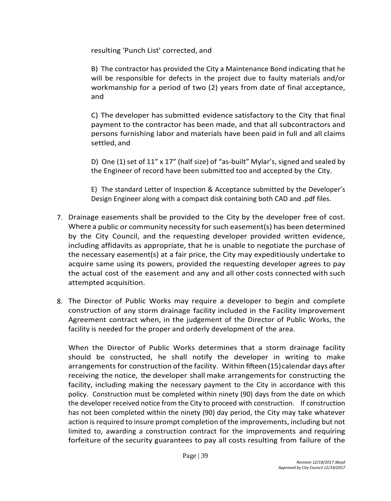resulting 'Punch List' corrected, and

B) The contractor has provided the City a Maintenance Bond indicating that he will be responsible for defects in the project due to faulty materials and/or workmanship for a period of two (2) years from date of final acceptance, and

C) The developer has submitted evidence satisfactory to the City that final payment to the contractor has been made, and that all subcontractors and persons furnishing labor and materials have been paid in full and all claims settled, and

D) One (1) set of 11" x 17" (half size) of "as-built" Mylar's, signed and sealed by the Engineer of record have been submitted too and accepted by the City.

E) The standard Letter of Inspection & Acceptance submitted by the Developer's Design Engineer along with a compact disk containing both CAD and .pdf files.

- 7. Drainage easements shall be provided to the City by the developer free of cost. Where a public or community necessity for such easement(s) has been determined by the City Council, and the requesting developer provided written evidence, including affidavits as appropriate, that he is unable to negotiate the purchase of the necessary easement(s) at a fair price, the City may expeditiously undertake to acquire same using its powers, provided the requesting developer agrees to pay the actual cost of the easement and any and all other costs connected with such attempted acquisition.
- 8. The Director of Public Works may require a developer to begin and complete construction of any storm drainage facility included in the Facility Improvement Agreement contract when, in the judgement of the Director of Public Works, the facility is needed for the proper and orderly development of the area.

When the Director of Public Works determines that a storm drainage facility should be constructed, he shall notify the developer in writing to make arrangements for construction of the facility. Within fifteen (15) calendar days after receiving the notice, the developer shall make arrangementsfor constructing the facility, including making the necessary payment to the City in accordance with this policy. Construction must be completed within ninety (90) days from the date on which the developer received notice from the City to proceed with construction. If construction has not been completed within the ninety (90) day period, the City may take whatever action is required to insure prompt completion of the improvements, including but not limited to, awarding a construction contract for the improvements and requiring forfeiture of the security guarantees to pay all costs resulting from failure of the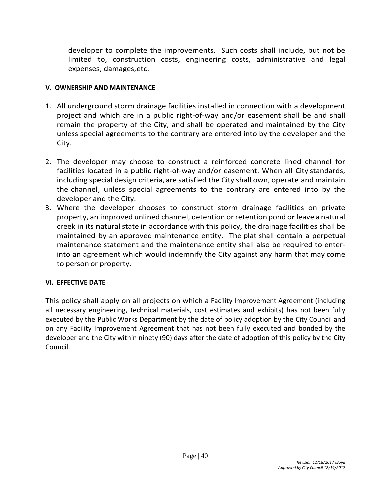developer to complete the improvements. Such costs shall include, but not be limited to, construction costs, engineering costs, administrative and legal expenses, damages,etc.

#### **V. OWNERSHIP AND MAINTENANCE**

- 1. All underground storm drainage facilities installed in connection with a development project and which are in a public right-of-way and/or easement shall be and shall remain the property of the City, and shall be operated and maintained by the City unless special agreements to the contrary are entered into by the developer and the City.
- 2. The developer may choose to construct a reinforced concrete lined channel for facilities located in a public right-of-way and/or easement. When all City standards, including special design criteria, are satisfied the City shall own, operate and maintain the channel, unless special agreements to the contrary are entered into by the developer and the City.
- 3. Where the developer chooses to construct storm drainage facilities on private property, an improved unlined channel, detention or retention pond orleave a natural creek in its natural state in accordance with this policy, the drainage facilities shall be maintained by an approved maintenance entity. The plat shall contain a perpetual maintenance statement and the maintenance entity shall also be required to enterinto an agreement which would indemnify the City against any harm that may come to person or property.

#### **VI. EFFECTIVE DATE**

This policy shall apply on all projects on which a Facility Improvement Agreement (including all necessary engineering, technical materials, cost estimates and exhibits) has not been fully executed by the Public Works Department by the date of policy adoption by the City Council and on any Facility Improvement Agreement that has not been fully executed and bonded by the developer and the City within ninety (90) days after the date of adoption of this policy by the City Council.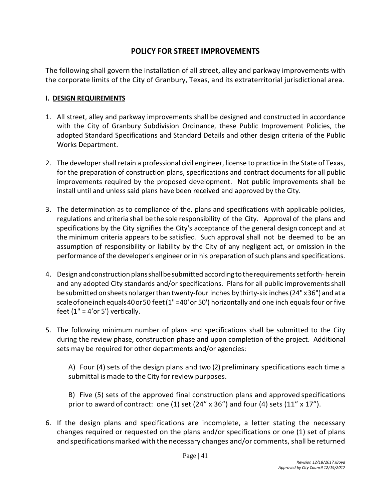# **POLICY FOR STREET IMPROVEMENTS**

The following shall govern the installation of all street, alley and parkway improvements with the corporate limits of the City of Granbury, Texas, and its extraterritorial jurisdictional area.

#### **I. DESIGN REQUIREMENTS**

- 1. All street, alley and parkway improvements shall be designed and constructed in accordance with the City of Granbury Subdivision Ordinance, these Public Improvement Policies, the adopted Standard Specifications and Standard Details and other design criteria of the Public Works Department.
- 2. The developer shall retain a professional civil engineer, license to practice in the State of Texas, for the preparation of construction plans, specifications and contract documents for all public improvements required by the proposed development. Not public improvements shall be install until and unless said plans have been received and approved by the City.
- 3. The determination as to compliance of the. plans and specifications with applicable policies, regulations and criteria shall be the sole responsibility of the City. Approval of the plans and specifications by the City signifies the City's acceptance of the general design concept and at the minimum criteria appears to be satisfied. Such approval shall not be deemed to be an assumption of responsibility or liability by the City of any negligent act, or omission in the performance of the developer's engineer or in his preparation of such plans and specifications.
- 4. Design and construction plans shall be submitted according to the requirements set forth· herein and any adopted City standards and/or specifications. Plans for all public improvementsshall besubmitted onsheetsnolargerthan twenty-four inches by thirty-six inches(24" x36") and ata scaleofoneinchequals40or50 feet(1"=40'or 50') horizontally and one inch equals four or five feet  $(1" = 4'$ or 5') vertically.
- 5. The following minimum number of plans and specifications shall be submitted to the City during the review phase, construction phase and upon completion of the project. Additional sets may be required for other departments and/or agencies:

A) Four (4) sets of the design plans and two (2) preliminary specifications each time a submittal is made to the City for review purposes.

B) Five (5) sets of the approved final construction plans and approved specifications prior to award of contract: one (1) set (24"  $\times$  36") and four (4) sets (11"  $\times$  17").

6. If the design plans and specifications are incomplete, a letter stating the necessary changes required or requested on the plans and/or specifications or one (1) set of plans and specifications marked with the necessary changes and/or comments, shall be returned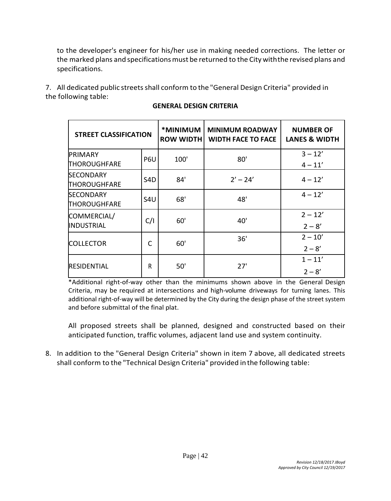to the developer's engineer for his/her use in making needed corrections. The letter or the marked plans and specifications must be returned to the City with the revised plans and specifications.

7. All dedicated public streets shall conform to the "General Design Criteria" provided in the following table:

| <b>STREET CLASSIFICATION</b>            |                  | *MINIMUM<br><b>ROW WIDTH</b> | <b>MINIMUM ROADWAY</b><br><b>WIDTH FACE TO FACE</b> | <b>NUMBER OF</b><br><b>LANES &amp; WIDTH</b> |
|-----------------------------------------|------------------|------------------------------|-----------------------------------------------------|----------------------------------------------|
| PRIMARY<br><b>THOROUGHFARE</b>          | P6U              | 100'                         | 80'                                                 | $3 - 12'$<br>$4 - 11'$                       |
| <b>SECONDARY</b><br><b>THOROUGHFARE</b> | S <sub>4</sub> D | 84'                          | $2' - 24'$                                          | $4 - 12'$                                    |
| <b>SECONDARY</b><br><b>THOROUGHFARE</b> | S <sub>4U</sub>  | 68'                          | 48'                                                 | $4 - 12'$                                    |
| COMMERCIAL/<br><b>INDUSTRIAL</b>        | C/I              | 60'                          | 40'                                                 | $2 - 12'$<br>$2 - 8'$                        |
| <b>COLLECTOR</b>                        | C                | 60'                          | 36'                                                 | $2 - 10'$<br>$2 - 8'$                        |
| <b>RESIDENTIAL</b>                      | R                | 50'                          | 27'                                                 | $1 - 11'$<br>$2 - 8'$                        |

#### **GENERAL DESIGN CRITERIA**

\*Additional right-of-way other than the minimums shown above in the General Design Criteria, may be required at intersections and high-volume driveways for turning lanes. This additional right-of-way will be determined by the City during the design phase of the street system and before submittal of the final plat.

All proposed streets shall be planned, designed and constructed based on their anticipated function, traffic volumes, adjacent land use and system continuity.

8. In addition to the "General Design Criteria" shown in item 7 above, all dedicated streets shall conform to the "Technical Design Criteria" provided inthe following table: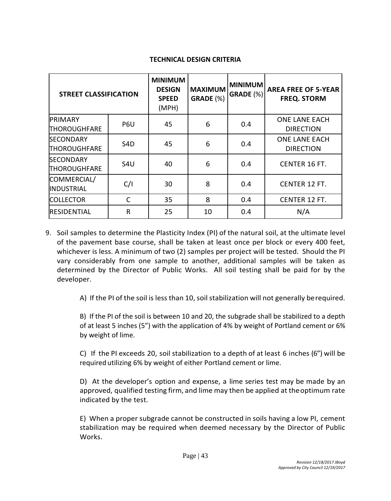#### **TECHNICAL DESIGN CRITERIA**

| <b>STREET CLASSIFICATION</b>     |                  | <b>MINIMUM</b><br><b>DESIGN</b><br><b>SPEED</b><br>(MPH) | <b>MAXIMUM</b><br>GRADE (%) | <b>MINIMUM</b><br><b>GRADE</b> (%) | <b>AREA FREE OF 5-YEAR</b><br><b>FREQ. STORM</b> |
|----------------------------------|------------------|----------------------------------------------------------|-----------------------------|------------------------------------|--------------------------------------------------|
| <b>PRIMARY</b><br>THOROUGHFARE   | P <sub>6U</sub>  | 45                                                       | 6                           | 0.4                                | <b>ONE LANE EACH</b><br><b>DIRECTION</b>         |
| <b>SECONDARY</b><br>THOROUGHFARE | S <sub>4</sub> D | 45                                                       | 6                           | 0.4                                | <b>ONE LANE EACH</b><br><b>DIRECTION</b>         |
| <b>SECONDARY</b><br>THOROUGHFARE | S4U              | 40                                                       | 6                           | 0.4                                | CENTER 16 FT.                                    |
| COMMERCIAL/<br><b>INDUSTRIAL</b> | C/I              | 30                                                       | 8                           | 0.4                                | CENTER 12 FT.                                    |
| <b>COLLECTOR</b>                 | C                | 35                                                       | 8                           | 0.4                                | CENTER 12 FT.                                    |
| <b>RESIDENTIAL</b>               | R                | 25                                                       | 10                          | 0.4                                | N/A                                              |

9. Soil samples to determine the Plasticity Index (PI) of the natural soil, at the ultimate level of the pavement base course, shall be taken at least once per block or every 400 feet, whichever is less. A minimum of two (2) samples per project will be tested. Should the PI vary considerably from one sample to another, additional samples will be taken as determined by the Director of Public Works. All soil testing shall be paid for by the developer.

A) If the PI of the soil is less than 10, soil stabilization will not generally berequired.

B) If the PI of the soil is between 10 and 20, the subgrade shall be stabilized to a depth of at least 5 inches (5") with the application of 4% by weight of Portland cement or 6% by weight of lime.

C) If the PI exceeds 20, soil stabilization to a depth of at least 6 inches (6") will be required utilizing 6% by weight of either Portland cement or lime.

D) At the developer's option and expense, a lime series test may be made by an approved, qualified testing firm, and lime may then be applied at theoptimum rate indicated by the test.

E) When a proper subgrade cannot be constructed in soils having a low PI, cement stabilization may be required when deemed necessary by the Director of Public Works.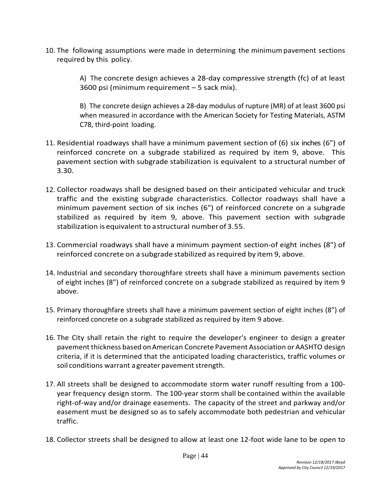10. The following assumptions were made in determining the minimumpavement sections required by this policy.

> A) The concrete design achieves a 28-day compressive strength (fc) of at least 3600 psi (minimum requirement – 5 sack mix).

> B) The concrete design achieves a 28-day modulus of rupture (MR) of at least 3600 psi when measured in accordance with the American Society for Testing Materials, ASTM C78, third-point loading.

- 11. Residential roadways shall have a minimum pavement section of (6) six inches (6") of reinforced concrete on a subgrade stabilized as required by item 9, above. This pavement section with subgrade stabilization is equivalent to a structural number of 3.30.
- 12. Collector roadways shall be designed based on their anticipated vehicular and truck traffic and the existing subgrade characteristics. Collector roadways shall have a minimum pavement section of six inches (6") of reinforced concrete on a subgrade stabilized as required by item 9, above. This pavement section with subgrade stabilization isequivalent to astructural numberof 3.55.
- 13. Commercial roadways shall have a minimum payment section-of eight inches (8") of reinforced concrete on a subgrade stabilized as required by item 9, above.
- 14. Industrial and secondary thoroughfare streets shall have a minimum pavements section of eight inches (8") of reinforced concrete on a subgrade stabilized as required by item 9 above.
- 15. Primary thoroughfare streets shall have a minimum pavement section of eight inches (8") of reinforced concrete on a subgrade stabilized as required by item 9 above.
- 16. The City shall retain the right to require the developer's engineer to design a greater pavement thickness based onAmerican Concrete Pavement Association or AASHTO design criteria, if it is determined that the anticipated loading characteristics, traffic volumes or soil conditions warrant a greater pavement strength.
- 17. All streets shall be designed to accommodate storm water runoff resulting from a 100 year frequency design storm. The 100-year storm shall be contained within the available right-of-way and/or drainage easements. The capacity of the street and parkway and/or easement must be designed so as to safely accommodate both pedestrian and vehicular traffic.
- 18. Collector streets shall be designed to allow at least one 12-foot wide lane to be open to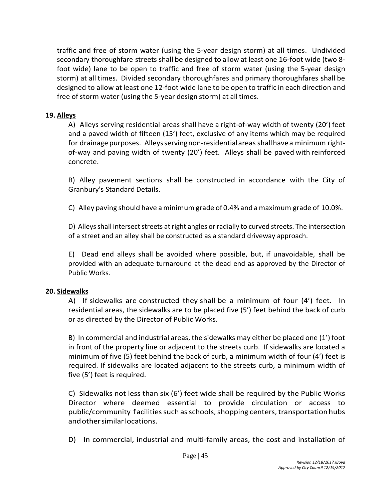traffic and free of storm water (using the 5-year design storm) at all times. Undivided secondary thoroughfare streets shall be designed to allow at least one 16-foot wide (two 8 foot wide) lane to be open to traffic and free of storm water (using the 5-year design storm) at all times. Divided secondary thoroughfares and primary thoroughfares shall be designed to allow at least one 12-foot wide lane to be open to traffic in each direction and free of storm water (using the 5-year design storm) at all times.

#### **19. Alleys**

A) Alleys serving residential areas shall have a right-of-way width of twenty (20') feet and a paved width of fifteen (15') feet, exclusive of any items which may be required for drainage purposes. Alleysservingnon-residentialareas shallhavea minimum rightof-way and paving width of twenty (20') feet. Alleys shall be paved with reinforced concrete.

B) Alley pavement sections shall be constructed in accordance with the City of Granbury's Standard Details.

C) Alley paving should have aminimum grade of 0.4% and a maximum grade of 10.0%.

D) Alleys shall intersect streets at right angles or radially to curved streets. The intersection of a street and an alley shall be constructed as a standard driveway approach.

E) Dead end alleys shall be avoided where possible, but, if unavoidable, shall be provided with an adequate turnaround at the dead end as approved by the Director of Public Works.

#### **20. Sidewalks**

A) If sidewalks are constructed they shall be a minimum of four (4') feet. In residential areas, the sidewalks are to be placed five (5') feet behind the back of curb or as directed by the Director of Public Works.

B) In commercial and industrial areas, the sidewalks may either be placed one (1') foot in front of the property line or adjacent to the streets curb. If sidewalks are located a minimum of five (5) feet behind the back of curb, a minimum width of four (4') feet is required. If sidewalks are located adjacent to the streets curb, a minimum width of five (5') feet is required.

C) Sidewalks not less than six (6') feet wide shall be required by the Public Works Director where deemed essential to provide circulation or access to public/community facilities such as schools, shopping centers, transportation hubs andothersimilarlocations.

D) In commercial, industrial and multi-family areas, the cost and installation of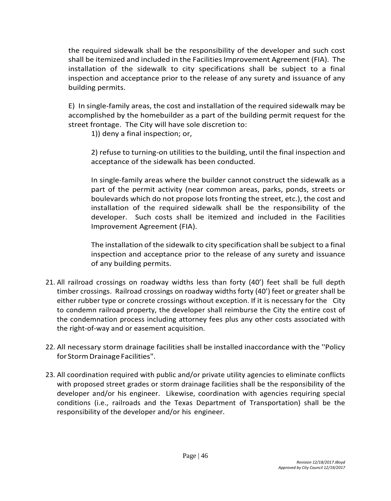the required sidewalk shall be the responsibility of the developer and such cost shall be itemized and included in the Facilities Improvement Agreement (FIA). The installation of the sidewalk to city specifications shall be subject to a final inspection and acceptance prior to the release of any surety and issuance of any building permits.

E) In single-family areas, the cost and installation of the required sidewalk may be accomplished by the homebuilder as a part of the building permit request for the street frontage. The City will have sole discretion to:

1)) deny a final inspection; or,

2) refuse to turning-on utilities to the building, until the final inspection and acceptance of the sidewalk has been conducted.

In single-family areas where the builder cannot construct the sidewalk as a part of the permit activity (near common areas, parks, ponds, streets or boulevards which do not propose lots fronting the street, etc.), the cost and installation of the required sidewalk shall be the responsibility of the developer. Such costs shall be itemized and included in the Facilities Improvement Agreement (FIA).

The installation of the sidewalk to city specification shall be subject to a final inspection and acceptance prior to the release of any surety and issuance of any building permits.

- 21. All railroad crossings on roadway widths less than forty (40') feet shall be full depth timber crossings. Railroad crossings on roadway widths forty (40') feet or greater shall be either rubber type or concrete crossings without exception. If it is necessary for the City to condemn railroad property, the developer shall reimburse the City the entire cost of the condemnation process including attorney fees plus any other costs associated with the right-of-way and or easement acquisition.
- 22. All necessary storm drainage facilities shall be installed inaccordance with the ''Policy for Storm Drainage Facilities".
- 23. All coordination required with public and/or private utility agencies to eliminate conflicts with proposed street grades or storm drainage facilities shall be the responsibility of the developer and/or his engineer. Likewise, coordination with agencies requiring special conditions (i.e., railroads and the Texas Department of Transportation) shall be the responsibility of the developer and/or his engineer.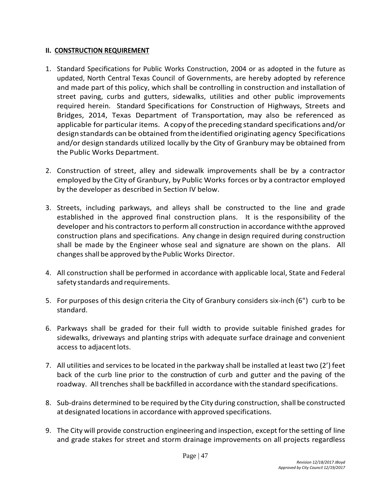#### **II. CONSTRUCTION REQUIREMENT**

- 1. Standard Specifications for Public Works Construction, 2004 or as adopted in the future as updated, North Central Texas Council of Governments, are hereby adopted by reference and made part of this policy, which shall be controlling in construction and installation of street paving, curbs and gutters, sidewalks, utilities and other public improvements required herein. Standard Specifications for Construction of Highways, Streets and Bridges, 2014, Texas Department of Transportation, may also be referenced as applicable for particular items. A copy of the preceding standard specifications and/or designstandards can be obtained fromtheidentified originating agency Specifications and/or design standards utilized locally by the City of Granbury may be obtained from the Public Works Department.
- 2. Construction of street, alley and sidewalk improvements shall be by a contractor employed by the City of Granbury, by Public Works forces or by a contractor employed by the developer as described in Section IV below.
- 3. Streets, including parkways, and alleys shall be constructed to the line and grade established in the approved final construction plans. It is the responsibility of the developer and his contractors to perform all construction in accordance withthe approved construction plans and specifications. Any change in design required during construction shall be made by the Engineer whose seal and signature are shown on the plans. All changes shall be approved by the Public Works Director.
- 4. All construction shall be performed in accordance with applicable local, State and Federal safety standards and requirements.
- 5. For purposes of this design criteria the City of Granbury considers six-inch (6") curb to be standard.
- 6. Parkways shall be graded for their full width to provide suitable finished grades for sidewalks, driveways and planting strips with adequate surface drainage and convenient access to adjacent lots.
- 7. All utilities and services to be located in the parkway shall be installed at least two (2') feet back of the curb line prior to the construction of curb and gutter and the paving of the roadway. All trenches shall be backfilled in accordance with the standard specifications.
- 8. Sub-drains determined to be required by the City during construction, shall be constructed at designated locations in accordance with approved specifications.
- 9. The City will provide construction engineering and inspection, except for the setting of line and grade stakes for street and storm drainage improvements on all projects regardless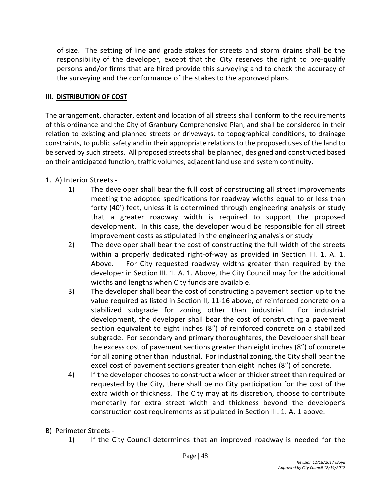of size. The setting of line and grade stakes for streets and storm drains shall be the responsibility of the developer, except that the City reserves the right to pre-qualify persons and/or firms that are hired provide this surveying and to check the accuracy of the surveying and the conformance of the stakes to the approved plans.

#### **III. DISTRIBUTION OF COST**

The arrangement, character, extent and location of all streets shall conform to the requirements of this ordinance and the City of Granbury Comprehensive Plan, and shall be considered in their relation to existing and planned streets or driveways, to topographical conditions, to drainage constraints, to public safety and in their appropriate relations to the proposed uses of the land to be served by such streets. All proposed streets shall be planned, designed and constructed based on their anticipated function, traffic volumes, adjacent land use and system continuity.

- 1. A) Interior Streets
	- 1) The developer shall bear the full cost of constructing all street improvements meeting the adopted specifications for roadway widths equal to or less than forty (40') feet, unless it is determined through engineering analysis or study that a greater roadway width is required to support the proposed development. In this case, the developer would be responsible for all street improvement costs as stipulated in the engineering analysis or study
	- 2) The developer shall bear the cost of constructing the full width of the streets within a properly dedicated right-of-way as provided in Section III. 1. A. 1. Above. For City requested roadway widths greater than required by the developer in Section III. 1. A. 1. Above, the City Council may for the additional widths and lengths when City funds are available.
	- 3) The developer shall bear the cost of constructing a pavement section up to the value required as listed in Section II, 11-16 above, of reinforced concrete on a stabilized subgrade for zoning other than industrial. For industrial development, the developer shall bear the cost of constructing a pavement section equivalent to eight inches (8") of reinforced concrete on a stabilized subgrade. For secondary and primary thoroughfares, the Developer shall bear the excess cost of pavement sections greater than eight inches (8") of concrete for all zoning other than industrial. For industrial zoning, the City shall bear the excel cost of pavement sections greater than eight inches (8") of concrete.
	- 4) If the developer chooses to construct a wider or thicker street than required or requested by the City, there shall be no City participation for the cost of the extra width or thickness. The City may at its discretion, choose to contribute monetarily for extra street width and thickness beyond the developer's construction cost requirements as stipulated in Section III. 1. A. 1 above.
- B) Perimeter Streets
	- 1) If the City Council determines that an improved roadway is needed for the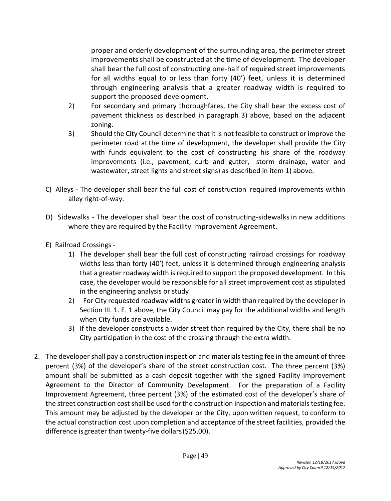proper and orderly development of the surrounding area, the perimeter street improvements shall be constructed at the time of development. The developer shall bear the full cost of constructing one-half of required street improvements for all widths equal to or less than forty (40') feet, unless it is determined through engineering analysis that a greater roadway width is required to support the proposed development.

- 2) For secondary and primary thoroughfares, the City shall bear the excess cost of pavement thickness as described in paragraph 3) above, based on the adjacent zoning.
- 3) Should the City Council determine that it is not feasible to construct or improve the perimeter road at the time of development, the developer shall provide the City with funds equivalent to the cost of constructing his share of the roadway improvements (i.e., pavement, curb and gutter, storm drainage, water and wastewater, street lights and street signs) as described in item 1) above.
- C) Alleys The developer shall bear the full cost of construction required improvements within alley right-of-way.
- D) Sidewalks The developer shall bear the cost of constructing-sidewalks in new additions where they are required by the Facility Improvement Agreement.
- E) Railroad Crossings
	- 1) The developer shall bear the full cost of constructing railroad crossings for roadway widths less than forty (40') feet, unless it is determined through engineering analysis that a greater roadway width is required to support the proposed development. In this case, the developer would be responsible for all street improvement cost as stipulated in the engineering analysis or study
	- 2) For City requested roadway widths greater in width than required by the developer in Section III. 1. E. 1 above, the City Council may pay for the additional widths and length when City funds are available.
	- 3) If the developer constructs a wider street than required by the City, there shall be no City participation in the cost of the crossing through the extra width.
- 2. The developer shall pay a construction inspection and materials testing fee in the amount of three percent (3%) of the developer's share of the street construction cost. The three percent (3%) amount shall be submitted as a cash deposit together with the signed Facility Improvement Agreement to the Director of Community Development. For the preparation of a Facility Improvement Agreement, three percent (3%) of the estimated cost of the developer's share of the street construction cost shall be used for the construction inspection and materials testing fee. This amount may be adjusted by the developer or the City, upon written request, to conform to the actual construction cost upon completion and acceptance of the street facilities, provided the difference is greater than twenty-five dollars(\$25.00).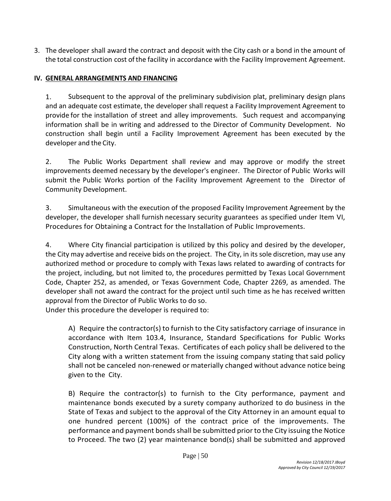3. The developer shall award the contract and deposit with the City cash or a bond in the amount of the total construction cost ofthe facility in accordance with the Facility Improvement Agreement.

# **IV. GENERAL ARRANGEMENTS AND FINANCING**

1. Subsequent to the approval of the preliminary subdivision plat, preliminary design plans and an adequate cost estimate, the developer shall request a Facility Improvement Agreement to provide for the installation of street and alley improvements. Such request and accompanying information shall be in writing and addressed to the Director of Community Development. No construction shall begin until a Facility Improvement Agreement has been executed by the developer and the City.

2. The Public Works Department shall review and may approve or modify the street improvements deemed necessary by the developer's engineer. The Director of Public Works will submit the Public Works portion of the Facility Improvement Agreement to the Director of Community Development.

3. Simultaneous with the execution of the proposed Facility Improvement Agreement by the developer, the developer shall furnish necessary security guarantees as specified under Item VI, Procedures for Obtaining a Contract for the Installation of Public Improvements.

4. Where City financial participation is utilized by this policy and desired by the developer, the City may advertise and receive bids on the project. The City, in its sole discretion, may use any authorized method or procedure to comply with Texas laws related to awarding of contracts for the project, including, but not limited to, the procedures permitted by Texas Local Government Code, Chapter 252, as amended, or Texas Government Code, Chapter 2269, as amended. The developer shall not award the contract for the project until such time as he has received written approval from the Director of Public Works to do so. Under this procedure the developer is required to:

A) Require the contractor(s) to furnish to the City satisfactory carriage of insurance in accordance with Item 103.4, Insurance, Standard Specifications for Public Works Construction, North Central Texas. Certificates of each policy shall be delivered to the City along with a written statement from the issuing company stating that said policy shall not be canceled non-renewed or materially changed without advance notice being given to the City.

B) Require the contractor(s) to furnish to the City performance, payment and maintenance bonds executed by a surety company authorized to do business in the State of Texas and subject to the approval of the City Attorney in an amount equal to one hundred percent (100%) of the contract price of the improvements. The performance and payment bonds shall be submitted prior to the City issuing the Notice to Proceed. The two (2) year maintenance bond(s) shall be submitted and approved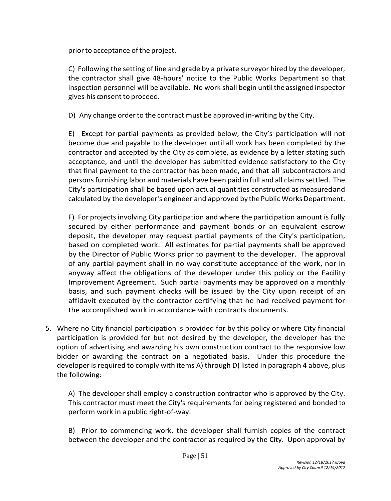priorto acceptance ofthe project.

C) Following the setting of line and grade by a private surveyor hired by the developer, the contractor shall give 48-hours' notice to the Public Works Department so that inspection personnel will be available. No work shall begin until the assigned inspector gives his consent to proceed.

D) Any change orderto the contract must be approved in-writing by the City.

E) Except for partial payments as provided below, the City's participation will not become due and payable to the developer until all work has been completed by the contractor and accepted by the City as complete, as evidence by a letter stating such acceptance, and until the developer has submitted evidence satisfactory to the City that final payment to the contractor has been made, and that all subcontractors and persons furnishing labor and materials have been paidin full and all claims settled. The City's participation shall be based upon actual quantities constructed as measuredand calculated by the developer's engineer and approved by the Public Works Department.

F) For projects involving City participation and where the participation amount is fully secured by either performance and payment bonds or an equivalent escrow deposit, the developer may request partial payments of the City's participation, based on completed work. All estimates for partial payments shall be approved by the Director of Public Works prior to payment to the developer. The approval of any partial payment shall in no way constitute acceptance of the work, nor in anyway affect the obligations of the developer under this policy or the Facility Improvement Agreement. Such partial payments may be approved on a monthly basis, and such payment checks will be issued by the City upon receipt of an affidavit executed by the contractor certifying that he had received payment for the accomplished work in accordance with contracts documents.

5. Where no City financial participation is provided for by this policy or where City financial participation is provided for but not desired by the developer, the developer has the option of advertising and awarding his own construction contract to the responsive low bidder or awarding the contract on a negotiated basis. Under this procedure the developer is required to comply with items A) through D) listed in paragraph 4 above, plus the following:

A) The developer shall employ a construction contractor who is approved by the City. This contractor must meet the City's requirements for being registered and bonded to perform work in apublic right-of-way.

B) Prior to commencing work, the developer shall furnish copies of the contract between the developer and the contractor as required by the City. Upon approval by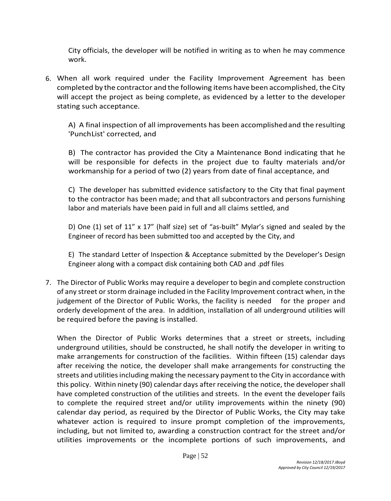City officials, the developer will be notified in writing as to when he may commence work.

6. When all work required under the Facility Improvement Agreement has been completed by the contractor and the following items have been accomplished, the City will accept the project as being complete, as evidenced by a letter to the developer stating such acceptance.

A) A final inspection of all improvements has been accomplishedand the resulting 'PunchList' corrected, and

B) The contractor has provided the City a Maintenance Bond indicating that he will be responsible for defects in the project due to faulty materials and/or workmanship for a period of two (2) years from date of final acceptance, and

C) The developer has submitted evidence satisfactory to the City that final payment to the contractor has been made; and that all subcontractors and persons furnishing labor and materials have been paid in full and all claims settled, and

D) One (1) set of 11" x 17" (half size) set of "as-built" Mylar's signed and sealed by the Engineer of record has been submitted too and accepted by the City, and

E) The standard Letter of Inspection & Acceptance submitted by the Developer's Design Engineer along with a compact disk containing both CAD and .pdf files

7. The Director of Public Works may require a developer to begin and complete construction of any street or storm drainage included in the Facility Improvement contract when, in the judgement of the Director of Public Works, the facility is needed for the proper and orderly development of the area. In addition, installation of all underground utilities will be required before the paving is installed.

When the Director of Public Works determines that a street or streets, including underground utilities, should be constructed, he shall notify the developer in writing to make arrangements for construction of the facilities. Within fifteen (15) calendar days after receiving the notice, the developer shall make arrangements for constructing the streets and utilities including making the necessary payment to the City in accordance with this policy. Within ninety (90) calendar days after receiving the notice, the developer shall have completed construction of the utilities and streets. In the event the developer fails to complete the required street and/or utility improvements within the ninety (90) calendar day period, as required by the Director of Public Works, the City may take whatever action is required to insure prompt completion of the improvements, including, but not limited to, awarding a construction contract for the street and/or utilities improvements or the incomplete portions of such improvements, and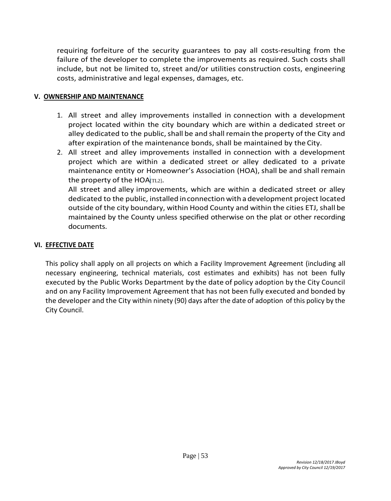requiring forfeiture of the security guarantees to pay all costs-resulting from the failure of the developer to complete the improvements as required. Such costs shall include, but not be limited to, street and/or utilities construction costs, engineering costs, administrative and legal expenses, damages, etc.

#### **V. OWNERSHIP AND MAINTENANCE**

- 1. All street and alley improvements installed in connection with a development project located within the city boundary which are within a dedicated street or alley dedicated to the public, shall be and shall remain the property of the City and after expiration of the maintenance bonds, shall be maintained by the City.
- 2. All street and alley improvements installed in connection with a development project which are within a dedicated street or alley dedicated to a private maintenance entity or Homeowner's Association (HOA), shall be and shall remain the property of the  $HOA|TL2$ .

All street and alley improvements, which are within a dedicated street or alley dedicated to the public, installed inconnection with a development project located outside of the city boundary, within Hood County and within the cities ETJ, shall be maintained by the County unless specified otherwise on the plat or other recording documents.

#### **VI. EFFECTIVE DATE**

This policy shall apply on all projects on which a Facility Improvement Agreement (including all necessary engineering, technical materials, cost estimates and exhibits) has not been fully executed by the Public Works Department by the date of policy adoption by the City Council and on any Facility Improvement Agreement that has not been fully executed and bonded by the developer and the City within ninety (90) days after the date of adoption of this policy by the City Council.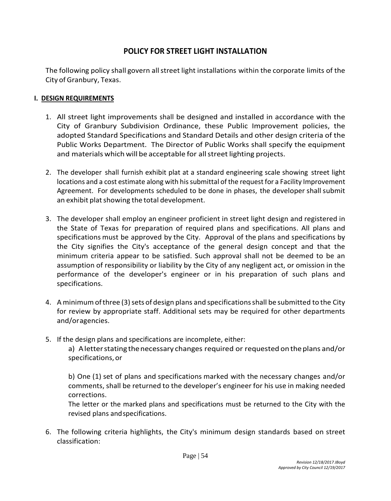# **POLICY FOR STREET LIGHT INSTALLATION**

The following policy shall govern all street light installations within the corporate limits of the City of Granbury, Texas.

#### **I. DESIGN REQUIREMENTS**

- 1. All street light improvements shall be designed and installed in accordance with the City of Granbury Subdivision Ordinance, these Public Improvement policies, the adopted Standard Specifications and Standard Details and other design criteria of the Public Works Department. The Director of Public Works shall specify the equipment and materials which will be acceptable for allstreet lighting projects.
- 2. The developer shall furnish exhibit plat at a standard engineering scale showing street light locations and a cost estimate along with his submittal of the request for a Facility Improvement Agreement. For developments scheduled to be done in phases, the developer shall submit an exhibit platshowing the total development.
- 3. The developer shall employ an engineer proficient in street light design and registered in the State of Texas for preparation of required plans and specifications. All plans and specifications must be approved by the City. Approval of the plans and specifications by the City signifies the City's acceptance of the general design concept and that the minimum criteria appear to be satisfied. Such approval shall not be deemed to be an assumption of responsibility or liability by the City of any negligent act, or omission in the performance of the developer's engineer or in his preparation of such plans and specifications.
- 4. A minimumofthree (3)sets of design plans and specificationsshall be submitted to the City for review by appropriate staff. Additional sets may be required for other departments and/oragencies.
- 5. If the design plans and specifications are incomplete, either:

a) Aletterstating thenecessary changes required or requested ontheplans and/or specifications, or

b) One (1) set of plans and specifications marked with the necessary changes and/or comments, shall be returned to the developer's engineer for his use in making needed corrections.

The letter or the marked plans and specifications must be returned to the City with the revised plans andspecifications.

6. The following criteria highlights, the City's minimum design standards based on street classification: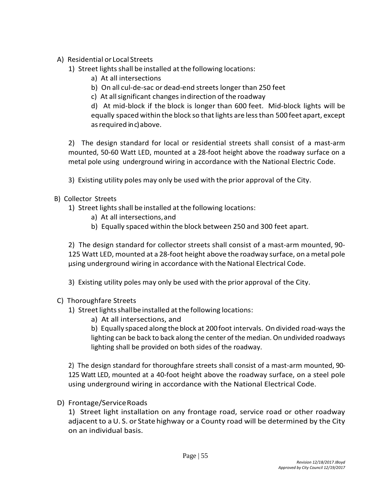- A) Residential or Local Streets
	- 1) Street lights shall be installed at the following locations:
		- a) At all intersections
		- b) On all cul-de-sac or dead-end streets longer than 250 feet
		- c) At all significant changes indirection of the roadway

d) At mid-block if the block is longer than 600 feet. Mid-block lights will be equally spaced within the block so thatlights are lessthan 500 feet apart, except asrequired in c) above.

2) The design standard for local or residential streets shall consist of a mast-arm mounted, 50-60 Watt LED, mounted at a 28-foot height above the roadway surface on a metal pole using underground wiring in accordance with the National Electric Code.

- 3) Existing utility poles may only be used with the prior approval of the City.
- B) Collector Streets
	- 1) Street lights shall be installed at the following locations:
		- a) At all intersections,and
		- b) Equally spaced within the block between 250 and 300 feet apart.

2) The design standard for collector streets shall consist of a mast-arm mounted, 90- 125 Watt LED, mounted at a 28-foot height above the roadway surface, on ametal pole µsing underground wiring in accordance with theNational Electrical Code.

3) Existing utility poles may only be used with the prior approval of the City.

#### C) Thoroughfare Streets

- 1) Street lights shall be installed at the following locations:
	- a) At all intersections, and

b) Equally spaced along theblock at 200foot intervals. Ondivided road-ways the lighting can be back to back along the center of the median. On undivided roadways lighting shall be provided on both sides of the roadway.

2) The design standard for thoroughfare streets shall consist of a mast-arm mounted, 90- 125 Watt LED, mounted at a 40-foot height above the roadway surface, on a steel pole using underground wiring in accordance with the National Electrical Code.

D) Frontage/ServiceRoads

1) Street light installation on any frontage road, service road or other roadway adjacent to a U. S. or State highway or a County road will be determined by the City on an individual basis.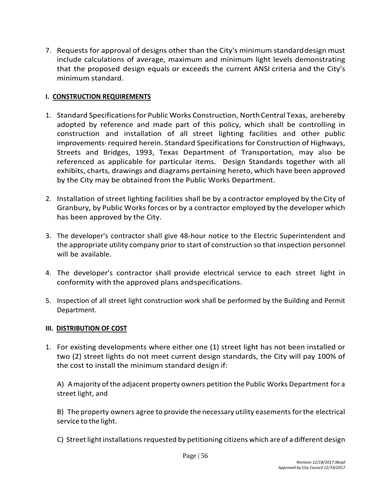7. Requests for approval of designs other than the City's minimum standarddesign must include calculations of average, maximum and minimum light levels demonstrating that the proposed design equals or exceeds the current ANSI criteria and the City's minimum standard.

#### **I. CONSTRUCTION REQUIREMENTS**

- 1. Standard Specifications for Public Works Construction, North Central Texas, arehereby adopted by reference and made part of this policy, which shall be controlling in construction and installation of all street lighting facilities and other public improvements· required herein. Standard Specifications for Construction of Highways, Streets and Bridges, 1993, Texas Department of Transportation, may also be referenced as applicable for particular items. Design Standards together with all exhibits, charts, drawings and diagrams pertaining hereto, which have been approved by the City may be obtained from the Public Works Department.
- 2. Installation of street lighting facilities shall be by a contractor employed by the City of Granbury, by Public Works forces or by a contractor employed by the developer which has been approved by the City.
- 3. The developer's contractor shall give 48-hour notice to the Electric Superintendent and the appropriate utility company prior to start of construction so that inspection personnel will be available.
- 4. The developer's contractor shall provide electrical service to each street light in conformity with the approved plans andspecifications.
- 5. Inspection of all street light construction work shall be performed by the Building and Permit Department.

#### **III. DISTRIBUTION OF COST**

1. For existing developments where either one (1) street light has not been installed or two (2) street lights do not meet current design standards, the City will pay 100% of the cost to install the minimum standard design if:

A) Amajority ofthe adjacent property owners petition the Public Works Department for a street light, and

B) The property owners agree to provide the necessary utility easements forthe electrical service to the light.

C) Street light installations requested by petitioning citizens which are of a different design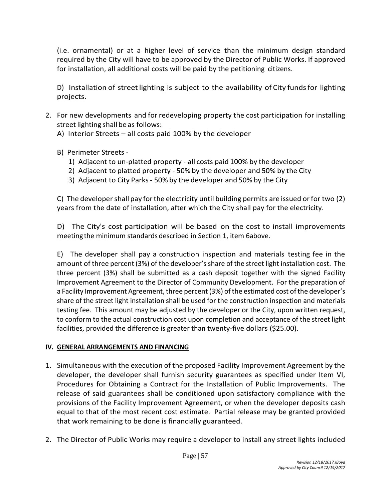(i.e. ornamental) or at a higher level of service than the minimum design standard required by the City will have to be approved by the Director of Public Works. If approved for installation, all additional costs will be paid by the petitioning citizens.

D) Installation of street lighting is subject to the availability of City funds for lighting projects.

- 2. For new developments and for redeveloping property the cost participation for installing street lighting shall be as follows:
	- A) Interior Streets all costs paid 100% by the developer
	- B) Perimeter Streets
		- 1) Adjacent to un-platted property all costs paid 100% by the developer
		- 2) Adjacent to platted property 50% by the developer and 50% by the City
		- 3) Adjacent to City Parks- 50% by the developer and 50% by the City

C) The developershall pay forthe electricity until building permits are issued orfor two (2) years from the date of installation, after which the City shall pay for the electricity.

D) The City's cost participation will be based on the cost to install improvements meeting the minimum standards described in Section 1, item 6above.

E) The developer shall pay a construction inspection and materials testing fee in the amount of three percent (3%) of the developer's share of the street light installation cost. The three percent (3%) shall be submitted as a cash deposit together with the signed Facility Improvement Agreement to the Director of Community Development. For the preparation of a Facility Improvement Agreement, three percent (3%) of the estimated cost of the developer's share of the street light installation shall be used for the construction inspection and materials testing fee. This amount may be adjusted by the developer or the City, upon written request, to conform to the actual construction cost upon completion and acceptance of the street light facilities, provided the difference is greater than twenty-five dollars (\$25.00).

#### **IV. GENERAL ARRANGEMENTS AND FINANCING**

- 1. Simultaneous with the execution of the proposed Facility Improvement Agreement by the developer, the developer shall furnish security guarantees as specified under Item VI, Procedures for Obtaining a Contract for the Installation of Public Improvements. The release of said guarantees shall be conditioned upon satisfactory compliance with the provisions of the Facility Improvement Agreement, or when the developer deposits cash equal to that of the most recent cost estimate. Partial release may be granted provided that work remaining to be done is financially guaranteed.
- 2. The Director of Public Works may require a developer to install any street lights included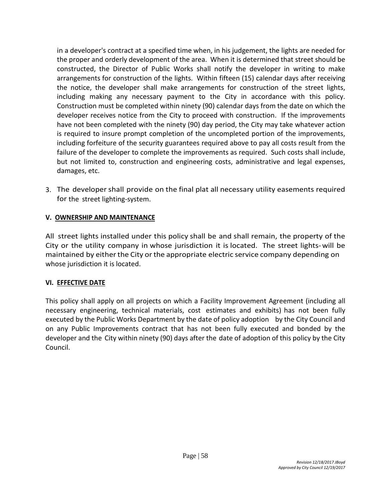in a developer's contract at a specified time when, in his judgement, the lights are needed for the proper and orderly development of the area. When it is determined that street should be constructed, the Director of Public Works shall notify the developer in writing to make arrangements for construction of the lights. Within fifteen (15) calendar days after receiving the notice, the developer shall make arrangements for construction of the street lights, including making any necessary payment to the City in accordance with this policy. Construction must be completed within ninety (90) calendar days from the date on which the developer receives notice from the City to proceed with construction. If the improvements have not been completed with the ninety (90) day period, the City may take whatever action is required to insure prompt completion of the uncompleted portion of the improvements, including forfeiture of the security guarantees required above to pay all costs result from the failure of the developer to complete the improvements as required. Such costs shall include, but not limited to, construction and engineering costs, administrative and legal expenses, damages, etc.

3. The developershall provide on the final plat all necessary utility easements required for the street lighting-system.

#### **V. OWNERSHIP AND MAINTENANCE**

All street lights installed under this policy shall be and shall remain, the property of the City or the utility company in whose jurisdiction it is located. The street lights-will be maintained by either the City or the appropriate electric service company depending on whose jurisdiction it is located.

#### **VI. EFFECTIVE DATE**

This policy shall apply on all projects on which a Facility Improvement Agreement (including all necessary engineering, technical materials, cost estimates and exhibits) has not been fully executed by the Public Works Department by the date of policy adoption by the City Council and on any Public Improvements contract that has not been fully executed and bonded by the developer and the City within ninety (90) days after the date of adoption of this policy by the City Council.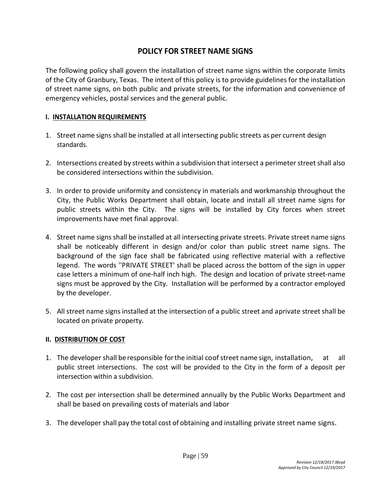# **POLICY FOR STREET NAME SIGNS**

The following policy shall govern the installation of street name signs within the corporate limits of the City of Granbury, Texas. The intent of this policy is to provide guidelines for the installation of street name signs, on both public and private streets, for the information and convenience of emergency vehicles, postal services and the general public.

#### **I. INSTALLATION REQUIREMENTS**

- 1. Street name signs shall be installed at all intersecting public streets as per current design standards.
- 2. Intersections created by streets within a subdivision that intersect a perimeter street shall also be considered intersections within the subdivision.
- 3. In order to provide uniformity and consistency in materials and workmanship throughout the City, the Public Works Department shall obtain, locate and install all street name signs for public streets within the City. The signs will be installed by City forces when street improvements have met final approval.
- 4. Street name signs shall be installed at all intersecting private streets. Private street name signs shall be noticeably different in design and/or color than public street name signs. The background of the sign face shall be fabricated using reflective material with a reflective legend. The words ''PRIVATE STREET' shall be placed across the bottom of the sign in upper case letters a minimum of one-half inch high. The design and location of private street-name signs must be approved by the City. Installation will be performed by a contractor employed by the developer.
- 5. All street name signs installed at the intersection of a public street and aprivate street shall be located on private property.

#### **II. DISTRIBUTION OF COST**

- 1. The developer shall be responsible for the initial coof street name sign, installation, at all public street intersections. The cost will be provided to the City in the form of a deposit per intersection within a subdivision.
- 2. The cost per intersection shall be determined annually by the Public Works Department and shall be based on prevailing costs of materials and labor
- 3. The developer shall pay the total cost of obtaining and installing private street name signs.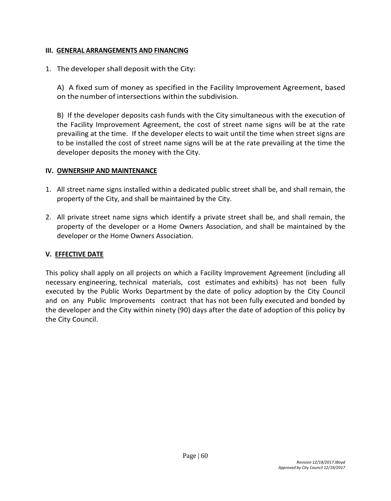#### **III. GENERAL ARRANGEMENTS AND FINANCING**

1. The developershall deposit with the City:

A) A fixed sum of money as specified in the Facility Improvement Agreement, based on the number of intersections within the subdivision.

B) If the developer deposits cash funds with the City simultaneous with the execution of the Facility Improvement Agreement, the cost of street name signs will be at the rate prevailing at the time. If the developer elects to wait until the time when street signs are to be installed the cost of street name signs will be at the rate prevailing at the time the developer deposits the money with the City.

#### **IV. OWNERSHIP AND MAINTENANCE**

- 1. All street name signs installed within a dedicated public street shall be, and shall remain, the property of the City, and shall be maintained by the City.
- 2. All private street name signs which identify a private street shall be, and shall remain, the property of the developer or a Home Owners Association, and shall be maintained by the developer or the Home Owners Association.

#### **V. EFFECTIVE DATE**

This policy shall apply on all projects on which a Facility Improvement Agreement (including all necessary engineering, technical materials, cost estimates and exhibits) has not been fully executed by the Public Works Department by the date of policy adoption by the City Council and on any Public Improvements contract that has not been fully executed and bonded by the developer and the City within ninety (90) days after the date of adoption of this policy by the City Council.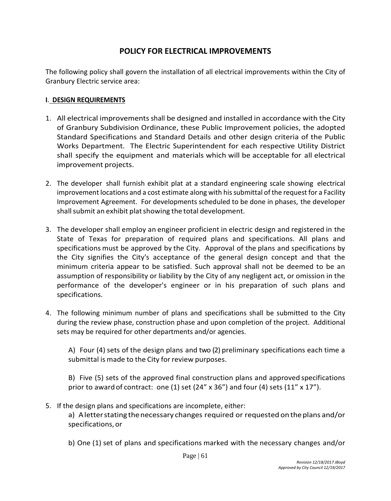# **POLICY FOR ELECTRICAL IMPROVEMENTS**

The following policy shall govern the installation of all electrical improvements within the City of Granbury Electric service area:

#### **I**. **DESIGN REQUIREMENTS**

- 1. All electrical improvements shall be designed and installed in accordance with the City of Granbury Subdivision Ordinance, these Public Improvement policies, the adopted Standard Specifications and Standard Details and other design criteria of the Public Works Department. The Electric Superintendent for each respective Utility District shall specify the equipment and materials which will be acceptable for all electrical improvement projects.
- 2. The developer shall furnish exhibit plat at a standard engineering scale showing electrical improvement locations and a cost estimate along with his submittal of the request for a Facility Improvement Agreement. For developments scheduled to be done in phases, the developer shall submit an exhibit plat showing the total development.
- 3. The developer shall employ an engineer proficient in electric design and registered in the State of Texas for preparation of required plans and specifications. All plans and specifications must be approved by the City. Approval of the plans and specifications by the City signifies the City's acceptance of the general design concept and that the minimum criteria appear to be satisfied. Such approval shall not be deemed to be an assumption of responsibility or liability by the City of any negligent act, or omission in the performance of the developer's engineer or in his preparation of such plans and specifications.
- 4. The following minimum number of plans and specifications shall be submitted to the City during the review phase, construction phase and upon completion of the project. Additional sets may be required for other departments and/or agencies.

A) Four (4) sets of the design plans and two (2) preliminary specifications each time a submittal is made to the City for review purposes.

B) Five (5) sets of the approved final construction plans and approved specifications prior to award of contract: one (1) set (24"  $\times$  36") and four (4) sets (11"  $\times$  17").

5. If the design plans and specifications are incomplete, either:

a) Aletterstating thenecessary changes required or requested ontheplans and/or specifications, or

b) One (1) set of plans and specifications marked with the necessary changes and/or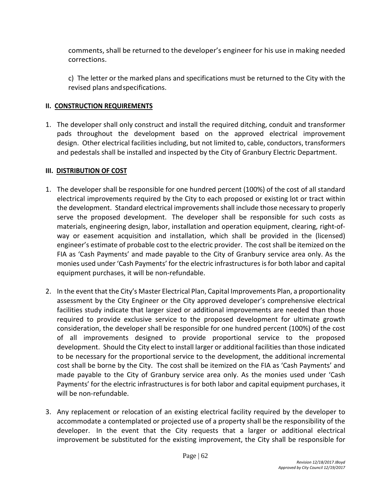comments, shall be returned to the developer's engineer for his use in making needed corrections.

c) The letter or the marked plans and specifications must be returned to the City with the revised plans andspecifications.

# **II. CONSTRUCTION REQUIREMENTS**

1. The developer shall only construct and install the required ditching, conduit and transformer pads throughout the development based on the approved electrical improvement design. Other electrical facilities including, but not limited to, cable, conductors, transformers and pedestals shall be installed and inspected by the City of Granbury Electric Department.

# **III. DISTRIBUTION OF COST**

- 1. The developer shall be responsible for one hundred percent (100%) of the cost of all standard electrical improvements required by the City to each proposed or existing lot or tract within the development. Standard electrical improvements shall include those necessary to properly serve the proposed development. The developer shall be responsible for such costs as materials, engineering design, labor, installation and operation equipment, clearing, right-ofway or easement acquisition and installation, which shall be provided in the (licensed) engineer's estimate of probable cost to the electric provider. The cost shall be itemized on the FIA as 'Cash Payments' and made payable to the City of Granbury service area only. As the monies used under 'Cash Payments' for the electric infrastructures is for both labor and capital equipment purchases, it will be non-refundable.
- 2. In the event that the City's Master Electrical Plan, Capital Improvements Plan, a proportionality assessment by the City Engineer or the City approved developer's comprehensive electrical facilities study indicate that larger sized or additional improvements are needed than those required to provide exclusive service to the proposed development for ultimate growth consideration, the developer shall be responsible for one hundred percent (100%) of the cost of all improvements designed to provide proportional service to the proposed development. Should the City elect to install larger or additional facilities than those indicated to be necessary for the proportional service to the development, the additional incremental cost shall be borne by the City. The cost shall be itemized on the FIA as 'Cash Payments' and made payable to the City of Granbury service area only. As the monies used under 'Cash Payments' for the electric infrastructures is for both labor and capital equipment purchases, it will be non-refundable.
- 3. Any replacement or relocation of an existing electrical facility required by the developer to accommodate a contemplated or projected use of a property shall be the responsibility of the developer. In the event that the City requests that a larger or additional electrical improvement be substituted for the existing improvement, the City shall be responsible for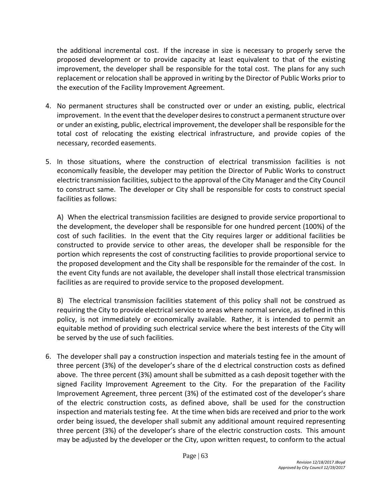the additional incremental cost. If the increase in size is necessary to properly serve the proposed development or to provide capacity at least equivalent to that of the existing improvement, the developer shall be responsible for the total cost. The plans for any such replacement or relocation shall be approved in writing by the Director of Public Works prior to the execution of the Facility Improvement Agreement.

- 4. No permanent structures shall be constructed over or under an existing, public, electrical improvement. In the event that the developer desires to construct a permanent structure over or under an existing, public, electrical improvement, the developer shall be responsible for the total cost of relocating the existing electrical infrastructure, and provide copies of the necessary, recorded easements.
- 5. In those situations, where the construction of electrical transmission facilities is not economically feasible, the developer may petition the Director of Public Works to construct electric transmission facilities, subject to the approval of the City Manager and the City Council to construct same. The developer or City shall be responsible for costs to construct special facilities as follows:

A) When the electrical transmission facilities are designed to provide service proportional to the development, the developer shall be responsible for one hundred percent (100%) of the cost of such facilities. In the event that the City requires larger or additional facilities be constructed to provide service to other areas, the developer shall be responsible for the portion which represents the cost of constructing facilities to provide proportional service to the proposed development and the City shall be responsible for the remainder of the cost. In the event City funds are not available, the developer shall install those electrical transmission facilities as are required to provide service to the proposed development.

B) The electrical transmission facilities statement of this policy shall not be construed as requiring the City to provide electrical service to areas where normal service, as defined in this policy, is not immediately or economically available. Rather, it is intended to permit an equitable method of providing such electrical service where the best interests of the City will be served by the use of such facilities.

6. The developer shall pay a construction inspection and materials testing fee in the amount of three percent (3%) of the developer's share of the d electrical construction costs as defined above. The three percent (3%) amount shall be submitted as a cash deposit together with the signed Facility Improvement Agreement to the City. For the preparation of the Facility Improvement Agreement, three percent (3%) of the estimated cost of the developer's share of the electric construction costs, as defined above, shall be used for the construction inspection and materials testing fee. At the time when bids are received and prior to the work order being issued, the developer shall submit any additional amount required representing three percent (3%) of the developer's share of the electric construction costs. This amount may be adjusted by the developer or the City, upon written request, to conform to the actual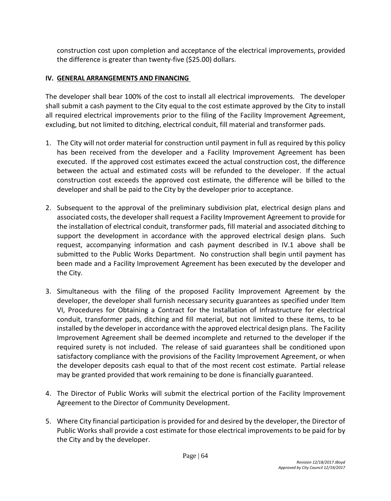construction cost upon completion and acceptance of the electrical improvements, provided the difference is greater than twenty-five (\$25.00) dollars.

### **IV. GENERAL ARRANGEMENTS AND FINANCING**

The developer shall bear 100% of the cost to install all electrical improvements. The developer shall submit a cash payment to the City equal to the cost estimate approved by the City to install all required electrical improvements prior to the filing of the Facility Improvement Agreement, excluding, but not limited to ditching, electrical conduit, fill material and transformer pads.

- 1. The City will not order material for construction until payment in full as required by this policy has been received from the developer and a Facility Improvement Agreement has been executed. If the approved cost estimates exceed the actual construction cost, the difference between the actual and estimated costs will be refunded to the developer. If the actual construction cost exceeds the approved cost estimate, the difference will be billed to the developer and shall be paid to the City by the developer prior to acceptance.
- 2. Subsequent to the approval of the preliminary subdivision plat, electrical design plans and associated costs, the developer shall request a Facility Improvement Agreement to provide for the installation of electrical conduit, transformer pads, fill material and associated ditching to support the development in accordance with the approved electrical design plans. Such request, accompanying information and cash payment described in IV.1 above shall be submitted to the Public Works Department. No construction shall begin until payment has been made and a Facility Improvement Agreement has been executed by the developer and the City.
- 3. Simultaneous with the filing of the proposed Facility Improvement Agreement by the developer, the developer shall furnish necessary security guarantees as specified under Item VI, Procedures for Obtaining a Contract for the Installation of Infrastructure for electrical conduit, transformer pads, ditching and fill material, but not limited to these items, to be installed by the developer in accordance with the approved electrical design plans. The Facility Improvement Agreement shall be deemed incomplete and returned to the developer if the required surety is not included. The release of said guarantees shall be conditioned upon satisfactory compliance with the provisions of the Facility Improvement Agreement, or when the developer deposits cash equal to that of the most recent cost estimate. Partial release may be granted provided that work remaining to be done is financially guaranteed.
- 4. The Director of Public Works will submit the electrical portion of the Facility Improvement Agreement to the Director of Community Development.
- 5. Where City financial participation is provided for and desired by the developer, the Director of Public Works shall provide a cost estimate for those electrical improvements to be paid for by the City and by the developer.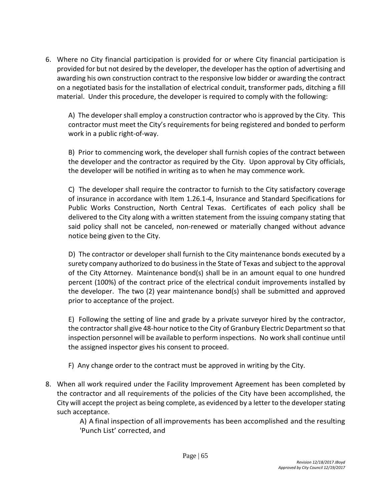6. Where no City financial participation is provided for or where City financial participation is provided for but not desired by the developer, the developer has the option of advertising and awarding his own construction contract to the responsive low bidder or awarding the contract on a negotiated basis for the installation of electrical conduit, transformer pads, ditching a fill material. Under this procedure, the developer is required to comply with the following:

A) The developer shall employ a construction contractor who is approved by the City. This contractor must meet the City's requirements for being registered and bonded to perform work in a public right-of-way.

B) Prior to commencing work, the developer shall furnish copies of the contract between the developer and the contractor as required by the City. Upon approval by City officials, the developer will be notified in writing as to when he may commence work.

C) The developer shall require the contractor to furnish to the City satisfactory coverage of insurance in accordance with Item 1.26.1-4, Insurance and Standard Specifications for Public Works Construction, North Central Texas. Certificates of each policy shall be delivered to the City along with a written statement from the issuing company stating that said policy shall not be canceled, non-renewed or materially changed without advance notice being given to the City.

D) The contractor or developer shall furnish to the City maintenance bonds executed by a surety company authorized to do business in the State of Texas and subject to the approval of the City Attorney. Maintenance bond(s) shall be in an amount equal to one hundred percent (100%) of the contract price of the electrical conduit improvements installed by the developer. The two (2) year maintenance bond(s) shall be submitted and approved prior to acceptance of the project.

E) Following the setting of line and grade by a private surveyor hired by the contractor, the contractor shall give 48-hour notice to the City of Granbury Electric Department so that inspection personnel will be available to perform inspections. No work shall continue until the assigned inspector gives his consent to proceed.

- F) Any change order to the contract must be approved in writing by the City.
- 8. When all work required under the Facility Improvement Agreement has been completed by the contractor and all requirements of the policies of the City have been accomplished, the City will accept the project as being complete, as evidenced by a letter to the developer stating such acceptance.

A) A final inspection of all improvements has been accomplished and the resulting 'Punch List' corrected, and